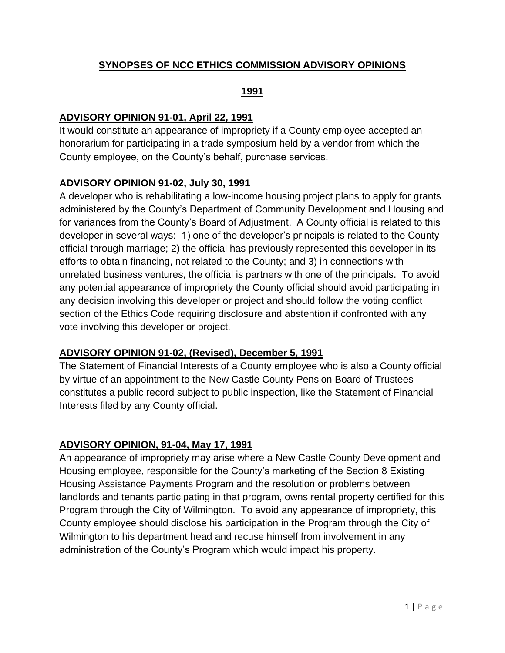## **SYNOPSES OF NCC ETHICS COMMISSION ADVISORY OPINIONS**

#### **1991**

### **ADVISORY OPINION 91-01, April 22, 1991**

It would constitute an appearance of impropriety if a County employee accepted an honorarium for participating in a trade symposium held by a vendor from which the County employee, on the County's behalf, purchase services.

### **ADVISORY OPINION 91-02, July 30, 1991**

A developer who is rehabilitating a low-income housing project plans to apply for grants administered by the County's Department of Community Development and Housing and for variances from the County's Board of Adjustment. A County official is related to this developer in several ways: 1) one of the developer's principals is related to the County official through marriage; 2) the official has previously represented this developer in its efforts to obtain financing, not related to the County; and 3) in connections with unrelated business ventures, the official is partners with one of the principals. To avoid any potential appearance of impropriety the County official should avoid participating in any decision involving this developer or project and should follow the voting conflict section of the Ethics Code requiring disclosure and abstention if confronted with any vote involving this developer or project.

### **ADVISORY OPINION 91-02, (Revised), December 5, 1991**

The Statement of Financial Interests of a County employee who is also a County official by virtue of an appointment to the New Castle County Pension Board of Trustees constitutes a public record subject to public inspection, like the Statement of Financial Interests filed by any County official.

### **ADVISORY OPINION, 91-04, May 17, 1991**

An appearance of impropriety may arise where a New Castle County Development and Housing employee, responsible for the County's marketing of the Section 8 Existing Housing Assistance Payments Program and the resolution or problems between landlords and tenants participating in that program, owns rental property certified for this Program through the City of Wilmington. To avoid any appearance of impropriety, this County employee should disclose his participation in the Program through the City of Wilmington to his department head and recuse himself from involvement in any administration of the County's Program which would impact his property.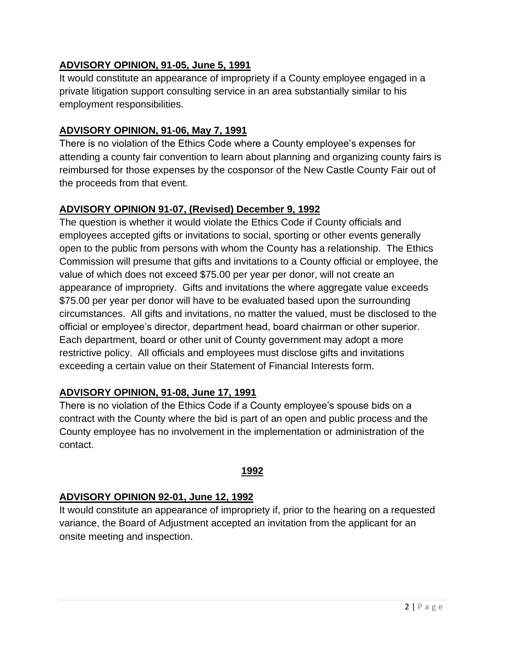## **ADVISORY OPINION, 91-05, June 5, 1991**

It would constitute an appearance of impropriety if a County employee engaged in a private litigation support consulting service in an area substantially similar to his employment responsibilities.

## **ADVISORY OPINION, 91-06, May 7, 1991**

There is no violation of the Ethics Code where a County employee's expenses for attending a county fair convention to learn about planning and organizing county fairs is reimbursed for those expenses by the cosponsor of the New Castle County Fair out of the proceeds from that event.

## **ADVISORY OPINION 91-07, (Revised) December 9, 1992**

The question is whether it would violate the Ethics Code if County officials and employees accepted gifts or invitations to social, sporting or other events generally open to the public from persons with whom the County has a relationship. The Ethics Commission will presume that gifts and invitations to a County official or employee, the value of which does not exceed \$75.00 per year per donor, will not create an appearance of impropriety. Gifts and invitations the where aggregate value exceeds \$75.00 per year per donor will have to be evaluated based upon the surrounding circumstances. All gifts and invitations, no matter the valued, must be disclosed to the official or employee's director, department head, board chairman or other superior. Each department, board or other unit of County government may adopt a more restrictive policy. All officials and employees must disclose gifts and invitations exceeding a certain value on their Statement of Financial Interests form.

## **ADVISORY OPINION, 91-08, June 17, 1991**

There is no violation of the Ethics Code if a County employee's spouse bids on a contract with the County where the bid is part of an open and public process and the County employee has no involvement in the implementation or administration of the contact.

### **1992**

## **ADVISORY OPINION 92-01, June 12, 1992**

It would constitute an appearance of impropriety if, prior to the hearing on a requested variance, the Board of Adjustment accepted an invitation from the applicant for an onsite meeting and inspection.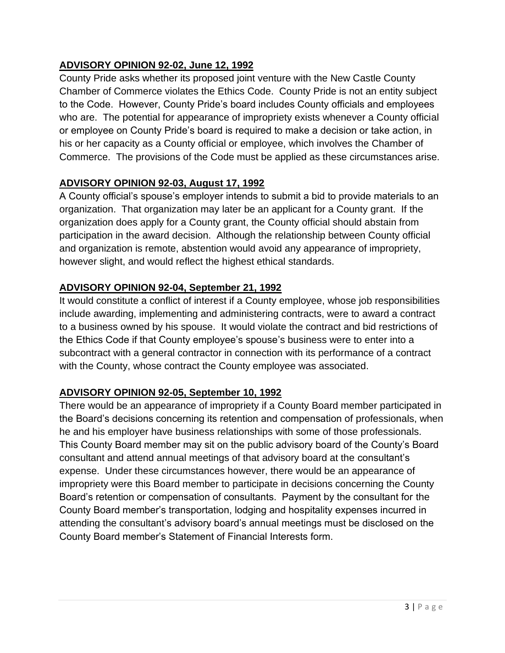## **ADVISORY OPINION 92-02, June 12, 1992**

County Pride asks whether its proposed joint venture with the New Castle County Chamber of Commerce violates the Ethics Code. County Pride is not an entity subject to the Code. However, County Pride's board includes County officials and employees who are. The potential for appearance of impropriety exists whenever a County official or employee on County Pride's board is required to make a decision or take action, in his or her capacity as a County official or employee, which involves the Chamber of Commerce. The provisions of the Code must be applied as these circumstances arise.

## **ADVISORY OPINION 92-03, August 17, 1992**

A County official's spouse's employer intends to submit a bid to provide materials to an organization. That organization may later be an applicant for a County grant. If the organization does apply for a County grant, the County official should abstain from participation in the award decision. Although the relationship between County official and organization is remote, abstention would avoid any appearance of impropriety, however slight, and would reflect the highest ethical standards.

## **ADVISORY OPINION 92-04, September 21, 1992**

It would constitute a conflict of interest if a County employee, whose job responsibilities include awarding, implementing and administering contracts, were to award a contract to a business owned by his spouse. It would violate the contract and bid restrictions of the Ethics Code if that County employee's spouse's business were to enter into a subcontract with a general contractor in connection with its performance of a contract with the County, whose contract the County employee was associated.

### **ADVISORY OPINION 92-05, September 10, 1992**

There would be an appearance of impropriety if a County Board member participated in the Board's decisions concerning its retention and compensation of professionals, when he and his employer have business relationships with some of those professionals. This County Board member may sit on the public advisory board of the County's Board consultant and attend annual meetings of that advisory board at the consultant's expense. Under these circumstances however, there would be an appearance of impropriety were this Board member to participate in decisions concerning the County Board's retention or compensation of consultants. Payment by the consultant for the County Board member's transportation, lodging and hospitality expenses incurred in attending the consultant's advisory board's annual meetings must be disclosed on the County Board member's Statement of Financial Interests form.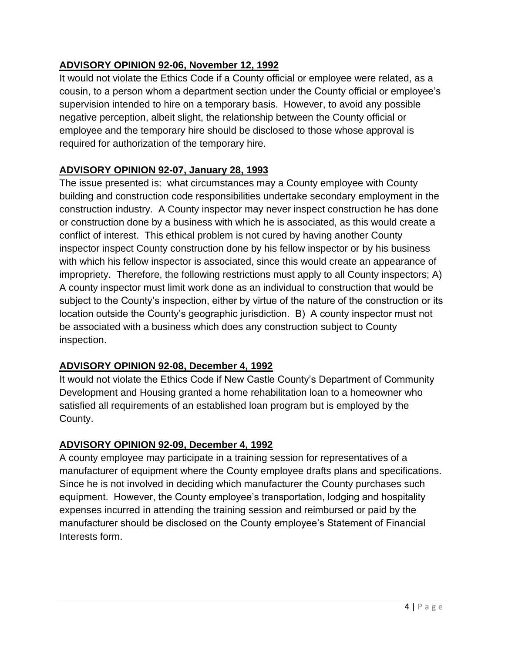## **ADVISORY OPINION 92-06, November 12, 1992**

It would not violate the Ethics Code if a County official or employee were related, as a cousin, to a person whom a department section under the County official or employee's supervision intended to hire on a temporary basis. However, to avoid any possible negative perception, albeit slight, the relationship between the County official or employee and the temporary hire should be disclosed to those whose approval is required for authorization of the temporary hire.

## **ADVISORY OPINION 92-07, January 28, 1993**

The issue presented is: what circumstances may a County employee with County building and construction code responsibilities undertake secondary employment in the construction industry. A County inspector may never inspect construction he has done or construction done by a business with which he is associated, as this would create a conflict of interest. This ethical problem is not cured by having another County inspector inspect County construction done by his fellow inspector or by his business with which his fellow inspector is associated, since this would create an appearance of impropriety. Therefore, the following restrictions must apply to all County inspectors; A) A county inspector must limit work done as an individual to construction that would be subject to the County's inspection, either by virtue of the nature of the construction or its location outside the County's geographic jurisdiction. B) A county inspector must not be associated with a business which does any construction subject to County inspection.

## **ADVISORY OPINION 92-08, December 4, 1992**

It would not violate the Ethics Code if New Castle County's Department of Community Development and Housing granted a home rehabilitation loan to a homeowner who satisfied all requirements of an established loan program but is employed by the County.

## **ADVISORY OPINION 92-09, December 4, 1992**

A county employee may participate in a training session for representatives of a manufacturer of equipment where the County employee drafts plans and specifications. Since he is not involved in deciding which manufacturer the County purchases such equipment. However, the County employee's transportation, lodging and hospitality expenses incurred in attending the training session and reimbursed or paid by the manufacturer should be disclosed on the County employee's Statement of Financial Interests form.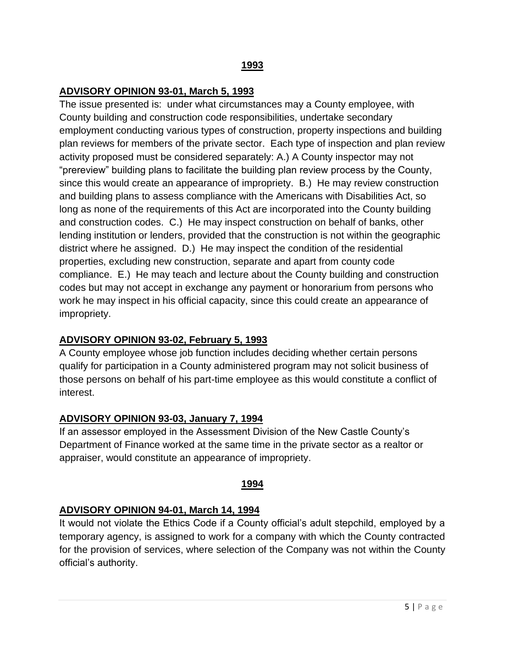#### **ADVISORY OPINION 93-01, March 5, 1993**

The issue presented is: under what circumstances may a County employee, with County building and construction code responsibilities, undertake secondary employment conducting various types of construction, property inspections and building plan reviews for members of the private sector. Each type of inspection and plan review activity proposed must be considered separately: A.) A County inspector may not "prereview" building plans to facilitate the building plan review process by the County, since this would create an appearance of impropriety. B.) He may review construction and building plans to assess compliance with the Americans with Disabilities Act, so long as none of the requirements of this Act are incorporated into the County building and construction codes. C.) He may inspect construction on behalf of banks, other lending institution or lenders, provided that the construction is not within the geographic district where he assigned. D.) He may inspect the condition of the residential properties, excluding new construction, separate and apart from county code compliance. E.) He may teach and lecture about the County building and construction codes but may not accept in exchange any payment or honorarium from persons who work he may inspect in his official capacity, since this could create an appearance of impropriety.

### **ADVISORY OPINION 93-02, February 5, 1993**

A County employee whose job function includes deciding whether certain persons qualify for participation in a County administered program may not solicit business of those persons on behalf of his part-time employee as this would constitute a conflict of interest.

#### **ADVISORY OPINION 93-03, January 7, 1994**

If an assessor employed in the Assessment Division of the New Castle County's Department of Finance worked at the same time in the private sector as a realtor or appraiser, would constitute an appearance of impropriety.

#### **1994**

#### **ADVISORY OPINION 94-01, March 14, 1994**

It would not violate the Ethics Code if a County official's adult stepchild, employed by a temporary agency, is assigned to work for a company with which the County contracted for the provision of services, where selection of the Company was not within the County official's authority.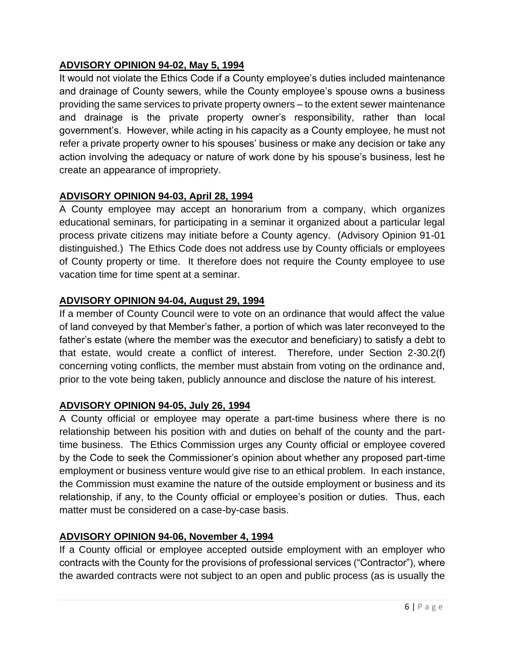## **ADVISORY OPINION 94-02, May 5, 1994**

It would not violate the Ethics Code if a County employee's duties included maintenance and drainage of County sewers, while the County employee's spouse owns a business providing the same services to private property owners – to the extent sewer maintenance and drainage is the private property owner's responsibility, rather than local government's. However, while acting in his capacity as a County employee, he must not refer a private property owner to his spouses' business or make any decision or take any action involving the adequacy or nature of work done by his spouse's business, lest he create an appearance of impropriety.

## **ADVISORY OPINION 94-03, April 28, 1994**

A County employee may accept an honorarium from a company, which organizes educational seminars, for participating in a seminar it organized about a particular legal process private citizens may initiate before a County agency. (Advisory Opinion 91-01 distinguished.) The Ethics Code does not address use by County officials or employees of County property or time. It therefore does not require the County employee to use vacation time for time spent at a seminar.

## **ADVISORY OPINION 94-04, August 29, 1994**

If a member of County Council were to vote on an ordinance that would affect the value of land conveyed by that Member's father, a portion of which was later reconveyed to the father's estate (where the member was the executor and beneficiary) to satisfy a debt to that estate, would create a conflict of interest. Therefore, under Section 2-30.2(f) concerning voting conflicts, the member must abstain from voting on the ordinance and, prior to the vote being taken, publicly announce and disclose the nature of his interest.

### **ADVISORY OPINION 94-05, July 26, 1994**

A County official or employee may operate a part-time business where there is no relationship between his position with and duties on behalf of the county and the parttime business. The Ethics Commission urges any County official or employee covered by the Code to seek the Commissioner's opinion about whether any proposed part-time employment or business venture would give rise to an ethical problem. In each instance, the Commission must examine the nature of the outside employment or business and its relationship, if any, to the County official or employee's position or duties. Thus, each matter must be considered on a case-by-case basis.

## **ADVISORY OPINION 94-06, November 4, 1994**

If a County official or employee accepted outside employment with an employer who contracts with the County for the provisions of professional services ("Contractor"), where the awarded contracts were not subject to an open and public process (as is usually the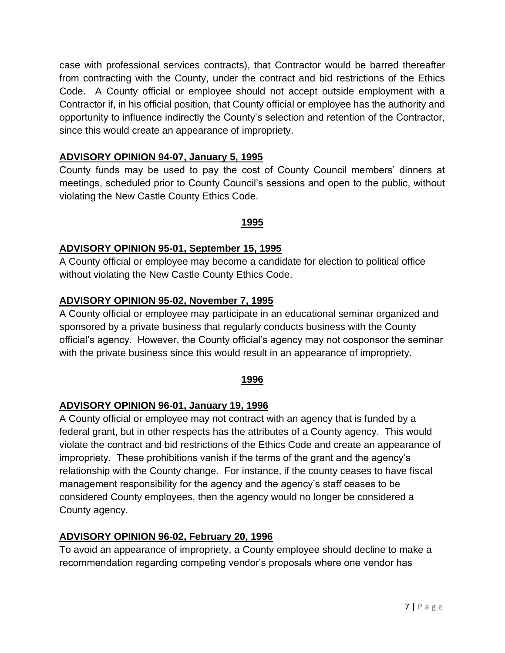case with professional services contracts), that Contractor would be barred thereafter from contracting with the County, under the contract and bid restrictions of the Ethics Code. A County official or employee should not accept outside employment with a Contractor if, in his official position, that County official or employee has the authority and opportunity to influence indirectly the County's selection and retention of the Contractor, since this would create an appearance of impropriety.

## **ADVISORY OPINION 94-07, January 5, 1995**

County funds may be used to pay the cost of County Council members' dinners at meetings, scheduled prior to County Council's sessions and open to the public, without violating the New Castle County Ethics Code.

### **1995**

## **ADVISORY OPINION 95-01, September 15, 1995**

A County official or employee may become a candidate for election to political office without violating the New Castle County Ethics Code.

## **ADVISORY OPINION 95-02, November 7, 1995**

A County official or employee may participate in an educational seminar organized and sponsored by a private business that regularly conducts business with the County official's agency. However, the County official's agency may not cosponsor the seminar with the private business since this would result in an appearance of impropriety.

### **1996**

## **ADVISORY OPINION 96-01, January 19, 1996**

A County official or employee may not contract with an agency that is funded by a federal grant, but in other respects has the attributes of a County agency. This would violate the contract and bid restrictions of the Ethics Code and create an appearance of impropriety. These prohibitions vanish if the terms of the grant and the agency's relationship with the County change. For instance, if the county ceases to have fiscal management responsibility for the agency and the agency's staff ceases to be considered County employees, then the agency would no longer be considered a County agency.

## **ADVISORY OPINION 96-02, February 20, 1996**

To avoid an appearance of impropriety, a County employee should decline to make a recommendation regarding competing vendor's proposals where one vendor has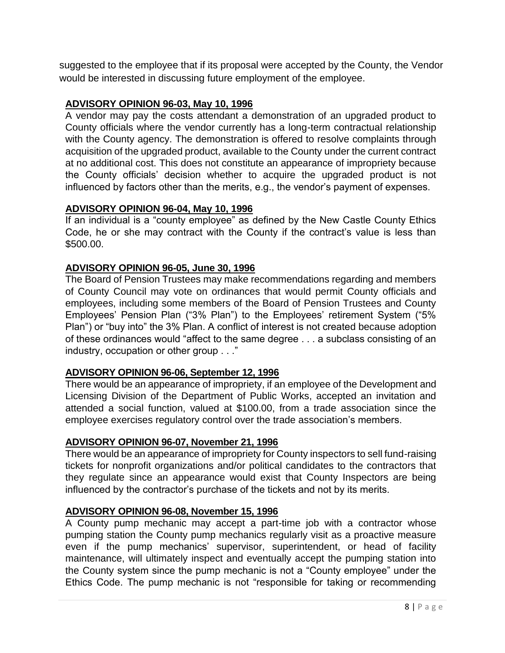suggested to the employee that if its proposal were accepted by the County, the Vendor would be interested in discussing future employment of the employee.

### **ADVISORY OPINION 96-03, May 10, 1996**

A vendor may pay the costs attendant a demonstration of an upgraded product to County officials where the vendor currently has a long-term contractual relationship with the County agency. The demonstration is offered to resolve complaints through acquisition of the upgraded product, available to the County under the current contract at no additional cost. This does not constitute an appearance of impropriety because the County officials' decision whether to acquire the upgraded product is not influenced by factors other than the merits, e.g., the vendor's payment of expenses.

#### **ADVISORY OPINION 96-04, May 10, 1996**

If an individual is a "county employee" as defined by the New Castle County Ethics Code, he or she may contract with the County if the contract's value is less than \$500.00.

### **ADVISORY OPINION 96-05, June 30, 1996**

The Board of Pension Trustees may make recommendations regarding and members of County Council may vote on ordinances that would permit County officials and employees, including some members of the Board of Pension Trustees and County Employees' Pension Plan ("3% Plan") to the Employees' retirement System ("5% Plan") or "buy into" the 3% Plan. A conflict of interest is not created because adoption of these ordinances would "affect to the same degree . . . a subclass consisting of an industry, occupation or other group . . ."

### **ADVISORY OPINION 96-06, September 12, 1996**

There would be an appearance of impropriety, if an employee of the Development and Licensing Division of the Department of Public Works, accepted an invitation and attended a social function, valued at \$100.00, from a trade association since the employee exercises regulatory control over the trade association's members.

### **ADVISORY OPINION 96-07, November 21, 1996**

There would be an appearance of impropriety for County inspectors to sell fund-raising tickets for nonprofit organizations and/or political candidates to the contractors that they regulate since an appearance would exist that County Inspectors are being influenced by the contractor's purchase of the tickets and not by its merits.

### **ADVISORY OPINION 96-08, November 15, 1996**

A County pump mechanic may accept a part-time job with a contractor whose pumping station the County pump mechanics regularly visit as a proactive measure even if the pump mechanics' supervisor, superintendent, or head of facility maintenance, will ultimately inspect and eventually accept the pumping station into the County system since the pump mechanic is not a "County employee" under the Ethics Code. The pump mechanic is not "responsible for taking or recommending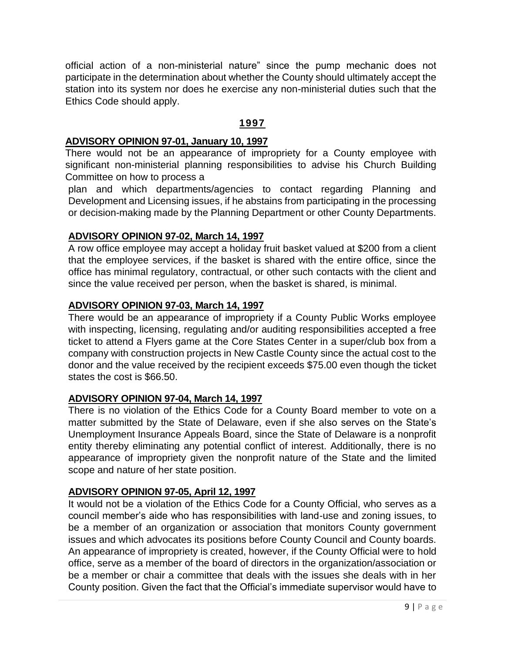official action of a non-ministerial nature" since the pump mechanic does not participate in the determination about whether the County should ultimately accept the station into its system nor does he exercise any non-ministerial duties such that the Ethics Code should apply.

### **1997**

#### **ADVISORY OPINION 97-01, January 10, 1997**

There would not be an appearance of impropriety for a County employee with significant non-ministerial planning responsibilities to advise his Church Building Committee on how to process a

plan and which departments/agencies to contact regarding Planning and Development and Licensing issues, if he abstains from participating in the processing or decision-making made by the Planning Department or other County Departments.

#### **ADVISORY OPINION 97-02, March 14, 1997**

A row office employee may accept a holiday fruit basket valued at \$200 from a client that the employee services, if the basket is shared with the entire office, since the office has minimal regulatory, contractual, or other such contacts with the client and since the value received per person, when the basket is shared, is minimal.

#### **ADVISORY OPINION 97-03, March 14, 1997**

There would be an appearance of impropriety if a County Public Works employee with inspecting, licensing, regulating and/or auditing responsibilities accepted a free ticket to attend a Flyers game at the Core States Center in a super/club box from a company with construction projects in New Castle County since the actual cost to the donor and the value received by the recipient exceeds \$75.00 even though the ticket states the cost is \$66.50.

#### **ADVISORY OPINION 97-04, March 14, 1997**

There is no violation of the Ethics Code for a County Board member to vote on a matter submitted by the State of Delaware, even if she also serves on the State's Unemployment Insurance Appeals Board, since the State of Delaware is a nonprofit entity thereby eliminating any potential conflict of interest. Additionally, there is no appearance of impropriety given the nonprofit nature of the State and the limited scope and nature of her state position.

#### **ADVISORY OPINION 97-05, April 12, 1997**

It would not be a violation of the Ethics Code for a County Official, who serves as a council member's aide who has responsibilities with land-use and zoning issues, to be a member of an organization or association that monitors County government issues and which advocates its positions before County Council and County boards. An appearance of impropriety is created, however, if the County Official were to hold office, serve as a member of the board of directors in the organization/association or be a member or chair a committee that deals with the issues she deals with in her County position. Given the fact that the Official's immediate supervisor would have to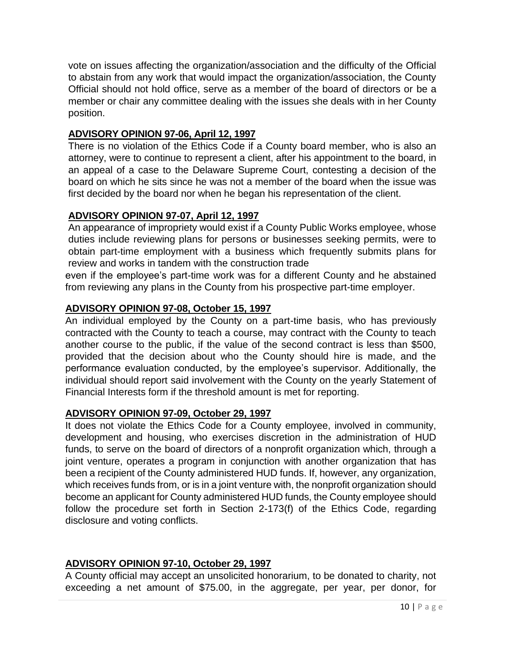vote on issues affecting the organization/association and the difficulty of the Official to abstain from any work that would impact the organization/association, the County Official should not hold office, serve as a member of the board of directors or be a member or chair any committee dealing with the issues she deals with in her County position.

#### **ADVISORY OPINION 97-06, April 12, 1997**

There is no violation of the Ethics Code if a County board member, who is also an attorney, were to continue to represent a client, after his appointment to the board, in an appeal of a case to the Delaware Supreme Court, contesting a decision of the board on which he sits since he was not a member of the board when the issue was first decided by the board nor when he began his representation of the client.

#### **ADVISORY OPINION 97-07, April 12, 1997**

An appearance of impropriety would exist if a County Public Works employee, whose duties include reviewing plans for persons or businesses seeking permits, were to obtain part-time employment with a business which frequently submits plans for review and works in tandem with the construction trade

even if the employee's part-time work was for a different County and he abstained from reviewing any plans in the County from his prospective part-time employer.

#### **ADVISORY OPINION 97-08, October 15, 1997**

An individual employed by the County on a part-time basis, who has previously contracted with the County to teach a course, may contract with the County to teach another course to the public, if the value of the second contract is less than \$500, provided that the decision about who the County should hire is made, and the performance evaluation conducted, by the employee's supervisor. Additionally, the individual should report said involvement with the County on the yearly Statement of Financial Interests form if the threshold amount is met for reporting.

### **ADVISORY OPINION 97-09, October 29, 1997**

It does not violate the Ethics Code for a County employee, involved in community, development and housing, who exercises discretion in the administration of HUD funds, to serve on the board of directors of a nonprofit organization which, through a joint venture, operates a program in conjunction with another organization that has been a recipient of the County administered HUD funds. If, however, any organization, which receives funds from, or is in a joint venture with, the nonprofit organization should become an applicant for County administered HUD funds, the County employee should follow the procedure set forth in Section 2-173(f) of the Ethics Code, regarding disclosure and voting conflicts.

### **ADVISORY OPINION 97-10, October 29, 1997**

A County official may accept an unsolicited honorarium, to be donated to charity, not exceeding a net amount of \$75.00, in the aggregate, per year, per donor, for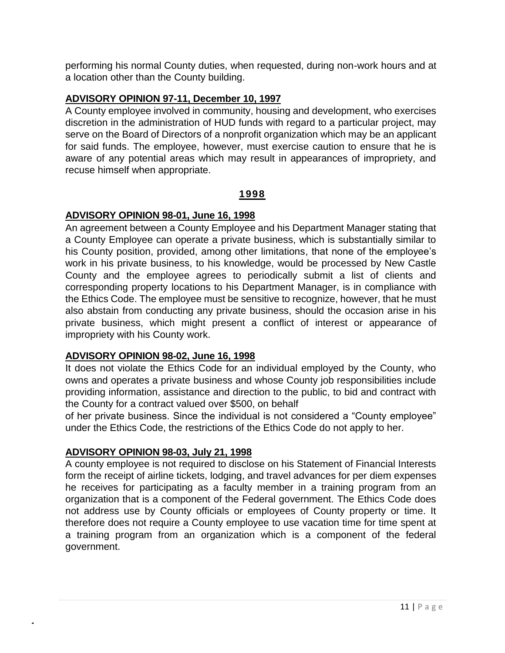performing his normal County duties, when requested, during non-work hours and at a location other than the County building.

#### **ADVISORY OPINION 97-11, December 10, 1997**

A County employee involved in community, housing and development, who exercises discretion in the administration of HUD funds with regard to a particular project, may serve on the Board of Directors of a nonprofit organization which may be an applicant for said funds. The employee, however, must exercise caution to ensure that he is aware of any potential areas which may result in appearances of impropriety, and recuse himself when appropriate.

## **1998**

### **ADVISORY OPINION 98-01, June 16, 1998**

An agreement between a County Employee and his Department Manager stating that a County Employee can operate a private business, which is substantially similar to his County position, provided, among other limitations, that none of the employee's work in his private business, to his knowledge, would be processed by New Castle County and the employee agrees to periodically submit a list of clients and corresponding property locations to his Department Manager, is in compliance with the Ethics Code. The employee must be sensitive to recognize, however, that he must also abstain from conducting any private business, should the occasion arise in his private business, which might present a conflict of interest or appearance of impropriety with his County work.

## **ADVISORY OPINION 98-02, June 16, 1998**

It does not violate the Ethics Code for an individual employed by the County, who owns and operates a private business and whose County job responsibilities include providing information, assistance and direction to the public, to bid and contract with the County for a contract valued over \$500, on behalf

of her private business. Since the individual is not considered a "County employee" under the Ethics Code, the restrictions of the Ethics Code do not apply to her.

### **ADVISORY OPINION 98-03, July 21, 1998**

 $\ddot{\phantom{1}}$ 

A county employee is not required to disclose on his Statement of Financial Interests form the receipt of airline tickets, lodging, and travel advances for per diem expenses he receives for participating as a faculty member in a training program from an organization that is a component of the Federal government. The Ethics Code does not address use by County officials or employees of County property or time. It therefore does not require a County employee to use vacation time for time spent at a training program from an organization which is a component of the federal government.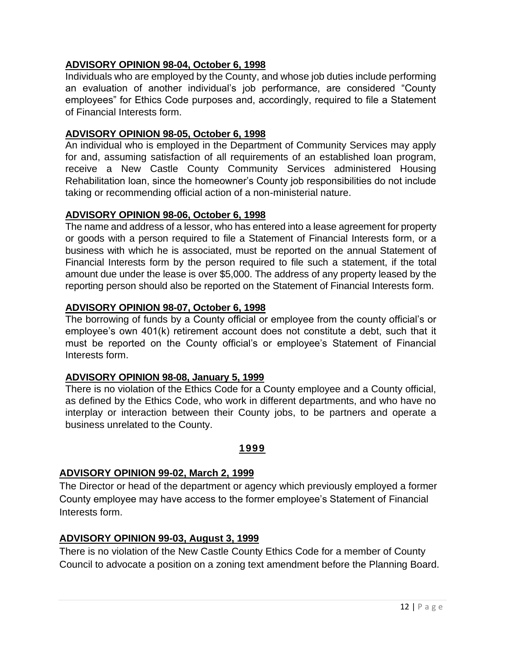### **ADVISORY OPINION 98-04, October 6, 1998**

Individuals who are employed by the County, and whose job duties include performing an evaluation of another individual's job performance, are considered "County employees" for Ethics Code purposes and, accordingly, required to file a Statement of Financial Interests form.

#### **ADVISORY OPINION 98-05, October 6, 1998**

An individual who is employed in the Department of Community Services may apply for and, assuming satisfaction of all requirements of an established loan program, receive a New Castle County Community Services administered Housing Rehabilitation loan, since the homeowner's County job responsibilities do not include taking or recommending official action of a non-ministerial nature.

#### **ADVISORY OPINION 98-06, October 6, 1998**

The name and address of a lessor, who has entered into a lease agreement for property or goods with a person required to file a Statement of Financial Interests form, or a business with which he is associated, must be reported on the annual Statement of Financial Interests form by the person required to file such a statement, if the total amount due under the lease is over \$5,000. The address of any property leased by the reporting person should also be reported on the Statement of Financial Interests form.

#### **ADVISORY OPINION 98-07, October 6, 1998**

The borrowing of funds by a County official or employee from the county official's or employee's own 401(k) retirement account does not constitute a debt, such that it must be reported on the County official's or employee's Statement of Financial Interests form.

#### **ADVISORY OPINION 98-08, January 5, 1999**

There is no violation of the Ethics Code for a County employee and a County official, as defined by the Ethics Code, who work in different departments, and who have no interplay or interaction between their County jobs, to be partners and operate a business unrelated to the County.

#### **1999**

#### **ADVISORY OPINION 99-02, March 2, 1999**

The Director or head of the department or agency which previously employed a former County employee may have access to the former employee's Statement of Financial Interests form.

#### **ADVISORY OPINION 99-03, August 3, 1999**

There is no violation of the New Castle County Ethics Code for a member of County Council to advocate a position on a zoning text amendment before the Planning Board.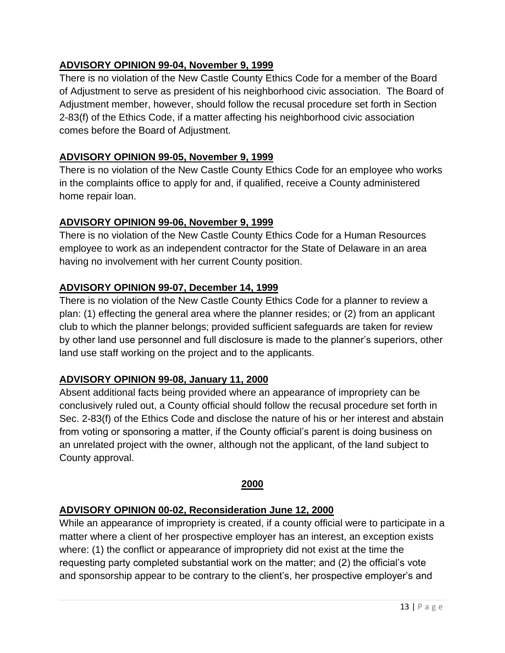## **ADVISORY OPINION 99-04, November 9, 1999**

There is no violation of the New Castle County Ethics Code for a member of the Board of Adjustment to serve as president of his neighborhood civic association. The Board of Adjustment member, however, should follow the recusal procedure set forth in Section 2-83(f) of the Ethics Code, if a matter affecting his neighborhood civic association comes before the Board of Adjustment.

### **ADVISORY OPINION 99-05, November 9, 1999**

There is no violation of the New Castle County Ethics Code for an employee who works in the complaints office to apply for and, if qualified, receive a County administered home repair loan.

### **ADVISORY OPINION 99-06, November 9, 1999**

There is no violation of the New Castle County Ethics Code for a Human Resources employee to work as an independent contractor for the State of Delaware in an area having no involvement with her current County position.

## **ADVISORY OPINION 99-07, December 14, 1999**

There is no violation of the New Castle County Ethics Code for a planner to review a plan: (1) effecting the general area where the planner resides; or (2) from an applicant club to which the planner belongs; provided sufficient safeguards are taken for review by other land use personnel and full disclosure is made to the planner's superiors, other land use staff working on the project and to the applicants.

### **ADVISORY OPINION 99-08, January 11, 2000**

Absent additional facts being provided where an appearance of impropriety can be conclusively ruled out, a County official should follow the recusal procedure set forth in Sec. 2-83(f) of the Ethics Code and disclose the nature of his or her interest and abstain from voting or sponsoring a matter, if the County official's parent is doing business on an unrelated project with the owner, although not the applicant, of the land subject to County approval.

### **2000**

### **ADVISORY OPINION 00-02, Reconsideration June 12, 2000**

While an appearance of impropriety is created, if a county official were to participate in a matter where a client of her prospective employer has an interest, an exception exists where: (1) the conflict or appearance of impropriety did not exist at the time the requesting party completed substantial work on the matter; and (2) the official's vote and sponsorship appear to be contrary to the client's, her prospective employer's and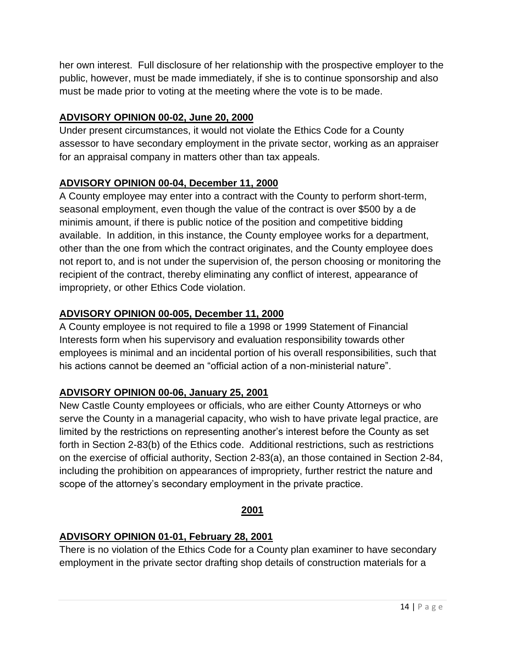her own interest. Full disclosure of her relationship with the prospective employer to the public, however, must be made immediately, if she is to continue sponsorship and also must be made prior to voting at the meeting where the vote is to be made.

## **ADVISORY OPINION 00-02, June 20, 2000**

Under present circumstances, it would not violate the Ethics Code for a County assessor to have secondary employment in the private sector, working as an appraiser for an appraisal company in matters other than tax appeals.

## **ADVISORY OPINION 00-04, December 11, 2000**

A County employee may enter into a contract with the County to perform short-term, seasonal employment, even though the value of the contract is over \$500 by a de minimis amount, if there is public notice of the position and competitive bidding available. In addition, in this instance, the County employee works for a department, other than the one from which the contract originates, and the County employee does not report to, and is not under the supervision of, the person choosing or monitoring the recipient of the contract, thereby eliminating any conflict of interest, appearance of impropriety, or other Ethics Code violation.

## **ADVISORY OPINION 00-005, December 11, 2000**

A County employee is not required to file a 1998 or 1999 Statement of Financial Interests form when his supervisory and evaluation responsibility towards other employees is minimal and an incidental portion of his overall responsibilities, such that his actions cannot be deemed an "official action of a non-ministerial nature".

## **ADVISORY OPINION 00-06, January 25, 2001**

New Castle County employees or officials, who are either County Attorneys or who serve the County in a managerial capacity, who wish to have private legal practice, are limited by the restrictions on representing another's interest before the County as set forth in Section 2-83(b) of the Ethics code. Additional restrictions, such as restrictions on the exercise of official authority, Section 2-83(a), an those contained in Section 2-84, including the prohibition on appearances of impropriety, further restrict the nature and scope of the attorney's secondary employment in the private practice.

### **2001**

## **ADVISORY OPINION 01-01, February 28, 2001**

There is no violation of the Ethics Code for a County plan examiner to have secondary employment in the private sector drafting shop details of construction materials for a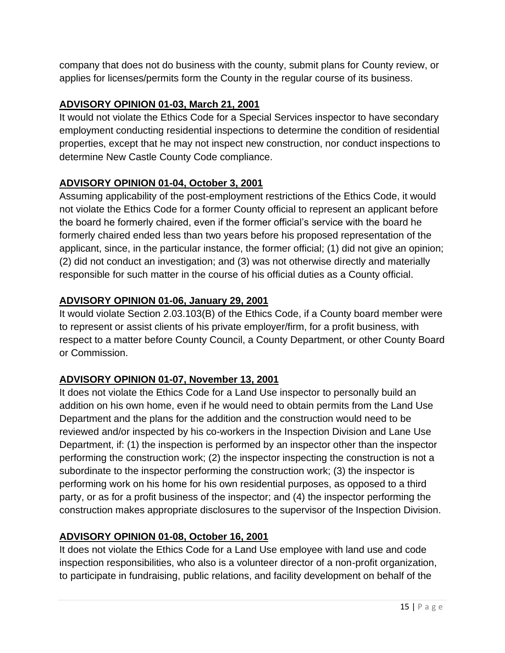company that does not do business with the county, submit plans for County review, or applies for licenses/permits form the County in the regular course of its business.

## **ADVISORY OPINION 01-03, March 21, 2001**

It would not violate the Ethics Code for a Special Services inspector to have secondary employment conducting residential inspections to determine the condition of residential properties, except that he may not inspect new construction, nor conduct inspections to determine New Castle County Code compliance.

## **ADVISORY OPINION 01-04, October 3, 2001**

Assuming applicability of the post-employment restrictions of the Ethics Code, it would not violate the Ethics Code for a former County official to represent an applicant before the board he formerly chaired, even if the former official's service with the board he formerly chaired ended less than two years before his proposed representation of the applicant, since, in the particular instance, the former official; (1) did not give an opinion; (2) did not conduct an investigation; and (3) was not otherwise directly and materially responsible for such matter in the course of his official duties as a County official.

## **ADVISORY OPINION 01-06, January 29, 2001**

It would violate Section 2.03.103(B) of the Ethics Code, if a County board member were to represent or assist clients of his private employer/firm, for a profit business, with respect to a matter before County Council, a County Department, or other County Board or Commission.

## **ADVISORY OPINION 01-07, November 13, 2001**

It does not violate the Ethics Code for a Land Use inspector to personally build an addition on his own home, even if he would need to obtain permits from the Land Use Department and the plans for the addition and the construction would need to be reviewed and/or inspected by his co-workers in the Inspection Division and Lane Use Department, if: (1) the inspection is performed by an inspector other than the inspector performing the construction work; (2) the inspector inspecting the construction is not a subordinate to the inspector performing the construction work; (3) the inspector is performing work on his home for his own residential purposes, as opposed to a third party, or as for a profit business of the inspector; and (4) the inspector performing the construction makes appropriate disclosures to the supervisor of the Inspection Division.

## **ADVISORY OPINION 01-08, October 16, 2001**

It does not violate the Ethics Code for a Land Use employee with land use and code inspection responsibilities, who also is a volunteer director of a non-profit organization, to participate in fundraising, public relations, and facility development on behalf of the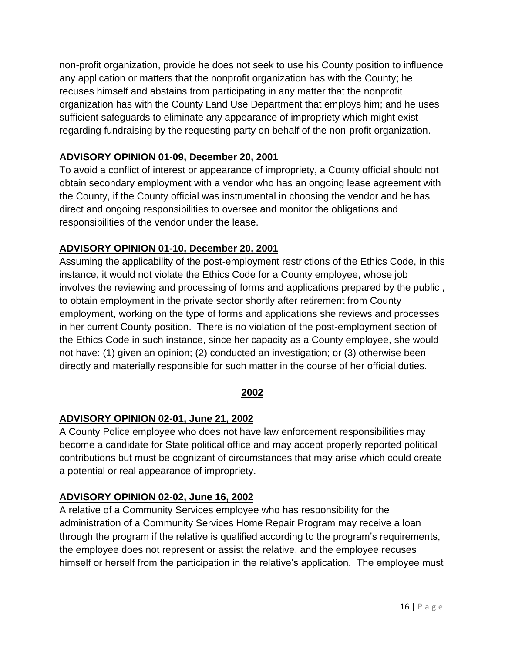non-profit organization, provide he does not seek to use his County position to influence any application or matters that the nonprofit organization has with the County; he recuses himself and abstains from participating in any matter that the nonprofit organization has with the County Land Use Department that employs him; and he uses sufficient safeguards to eliminate any appearance of impropriety which might exist regarding fundraising by the requesting party on behalf of the non-profit organization.

## **ADVISORY OPINION 01-09, December 20, 2001**

To avoid a conflict of interest or appearance of impropriety, a County official should not obtain secondary employment with a vendor who has an ongoing lease agreement with the County, if the County official was instrumental in choosing the vendor and he has direct and ongoing responsibilities to oversee and monitor the obligations and responsibilities of the vendor under the lease.

## **ADVISORY OPINION 01-10, December 20, 2001**

Assuming the applicability of the post-employment restrictions of the Ethics Code, in this instance, it would not violate the Ethics Code for a County employee, whose job involves the reviewing and processing of forms and applications prepared by the public , to obtain employment in the private sector shortly after retirement from County employment, working on the type of forms and applications she reviews and processes in her current County position. There is no violation of the post-employment section of the Ethics Code in such instance, since her capacity as a County employee, she would not have: (1) given an opinion; (2) conducted an investigation; or (3) otherwise been directly and materially responsible for such matter in the course of her official duties.

### **2002**

## **ADVISORY OPINION 02-01, June 21, 2002**

A County Police employee who does not have law enforcement responsibilities may become a candidate for State political office and may accept properly reported political contributions but must be cognizant of circumstances that may arise which could create a potential or real appearance of impropriety.

## **ADVISORY OPINION 02-02, June 16, 2002**

A relative of a Community Services employee who has responsibility for the administration of a Community Services Home Repair Program may receive a loan through the program if the relative is qualified according to the program's requirements, the employee does not represent or assist the relative, and the employee recuses himself or herself from the participation in the relative's application. The employee must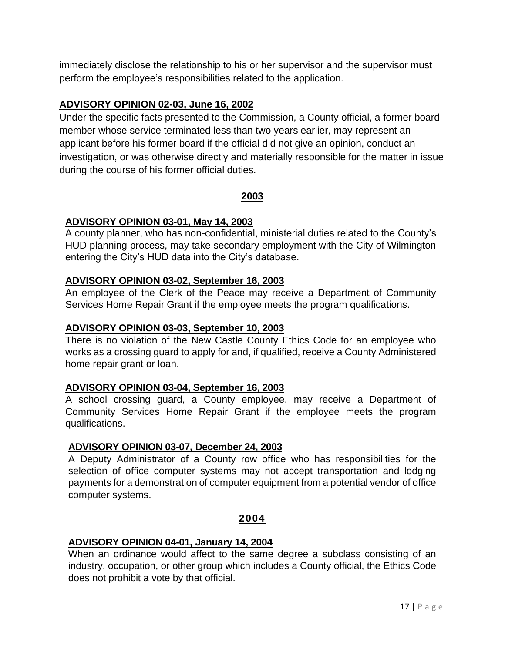immediately disclose the relationship to his or her supervisor and the supervisor must perform the employee's responsibilities related to the application.

## **ADVISORY OPINION 02-03, June 16, 2002**

Under the specific facts presented to the Commission, a County official, a former board member whose service terminated less than two years earlier, may represent an applicant before his former board if the official did not give an opinion, conduct an investigation, or was otherwise directly and materially responsible for the matter in issue during the course of his former official duties.

### **2003**

## **ADVISORY OPINION 03-01, May 14, 2003**

A county planner, who has non-confidential, ministerial duties related to the County's HUD planning process, may take secondary employment with the City of Wilmington entering the City's HUD data into the City's database.

### **ADVISORY OPINION 03-02, September 16, 2003**

An employee of the Clerk of the Peace may receive a Department of Community Services Home Repair Grant if the employee meets the program qualifications.

### **ADVISORY OPINION 03-03, September 10, 2003**

There is no violation of the New Castle County Ethics Code for an employee who works as a crossing guard to apply for and, if qualified, receive a County Administered home repair grant or loan.

### **ADVISORY OPINION 03-04, September 16, 2003**

A school crossing guard, a County employee, may receive a Department of Community Services Home Repair Grant if the employee meets the program qualifications.

### **ADVISORY OPINION 03-07, December 24, 2003**

A Deputy Administrator of a County row office who has responsibilities for the selection of office computer systems may not accept transportation and lodging payments for a demonstration of computer equipment from a potential vendor of office computer systems.

### **2004**

### **ADVISORY OPINION 04-01, January 14, 2004**

When an ordinance would affect to the same degree a subclass consisting of an industry, occupation, or other group which includes a County official, the Ethics Code does not prohibit a vote by that official.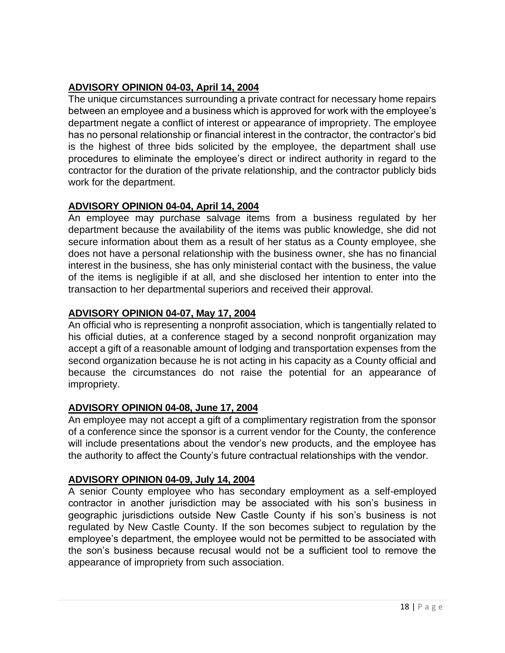## **ADVISORY OPINION 04-03, April 14, 2004**

The unique circumstances surrounding a private contract for necessary home repairs between an employee and a business which is approved for work with the employee's department negate a conflict of interest or appearance of impropriety. The employee has no personal relationship or financial interest in the contractor, the contractor's bid is the highest of three bids solicited by the employee, the department shall use procedures to eliminate the employee's direct or indirect authority in regard to the contractor for the duration of the private relationship, and the contractor publicly bids work for the department.

## **ADVISORY OPINION 04-04, April 14, 2004**

An employee may purchase salvage items from a business regulated by her department because the availability of the items was public knowledge, she did not secure information about them as a result of her status as a County employee, she does not have a personal relationship with the business owner, she has no financial interest in the business, she has only ministerial contact with the business, the value of the items is negligible if at all, and she disclosed her intention to enter into the transaction to her departmental superiors and received their approval.

## **ADVISORY OPINION 04-07, May 17, 2004**

An official who is representing a nonprofit association, which is tangentially related to his official duties, at a conference staged by a second nonprofit organization may accept a gift of a reasonable amount of lodging and transportation expenses from the second organization because he is not acting in his capacity as a County official and because the circumstances do not raise the potential for an appearance of impropriety.

### **ADVISORY OPINION 04-08, June 17, 2004**

An employee may not accept a gift of a complimentary registration from the sponsor of a conference since the sponsor is a current vendor for the County, the conference will include presentations about the vendor's new products, and the employee has the authority to affect the County's future contractual relationships with the vendor.

### **ADVISORY OPINION 04-09, July 14, 2004**

A senior County employee who has secondary employment as a self-employed contractor in another jurisdiction may be associated with his son's business in geographic jurisdictions outside New Castle County if his son's business is not regulated by New Castle County. If the son becomes subject to regulation by the employee's department, the employee would not be permitted to be associated with the son's business because recusal would not be a sufficient tool to remove the appearance of impropriety from such association.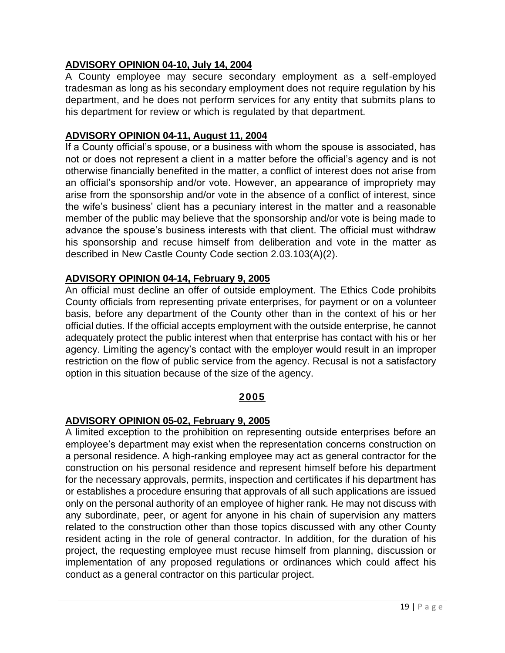## **ADVISORY OPINION 04-10, July 14, 2004**

A County employee may secure secondary employment as a self-employed tradesman as long as his secondary employment does not require regulation by his department, and he does not perform services for any entity that submits plans to his department for review or which is regulated by that department.

## **ADVISORY OPINION 04-11, August 11, 2004**

If a County official's spouse, or a business with whom the spouse is associated, has not or does not represent a client in a matter before the official's agency and is not otherwise financially benefited in the matter, a conflict of interest does not arise from an official's sponsorship and/or vote. However, an appearance of impropriety may arise from the sponsorship and/or vote in the absence of a conflict of interest, since the wife's business' client has a pecuniary interest in the matter and a reasonable member of the public may believe that the sponsorship and/or vote is being made to advance the spouse's business interests with that client. The official must withdraw his sponsorship and recuse himself from deliberation and vote in the matter as described in New Castle County Code section 2.03.103(A)(2).

## **ADVISORY OPINION 04-14, February 9, 2005**

An official must decline an offer of outside employment. The Ethics Code prohibits County officials from representing private enterprises, for payment or on a volunteer basis, before any department of the County other than in the context of his or her official duties. If the official accepts employment with the outside enterprise, he cannot adequately protect the public interest when that enterprise has contact with his or her agency. Limiting the agency's contact with the employer would result in an improper restriction on the flow of public service from the agency. Recusal is not a satisfactory option in this situation because of the size of the agency.

### **2005**

## **ADVISORY OPINION 05-02, February 9, 2005**

A limited exception to the prohibition on representing outside enterprises before an employee's department may exist when the representation concerns construction on a personal residence. A high-ranking employee may act as general contractor for the construction on his personal residence and represent himself before his department for the necessary approvals, permits, inspection and certificates if his department has or establishes a procedure ensuring that approvals of all such applications are issued only on the personal authority of an employee of higher rank. He may not discuss with any subordinate, peer, or agent for anyone in his chain of supervision any matters related to the construction other than those topics discussed with any other County resident acting in the role of general contractor. In addition, for the duration of his project, the requesting employee must recuse himself from planning, discussion or implementation of any proposed regulations or ordinances which could affect his conduct as a general contractor on this particular project.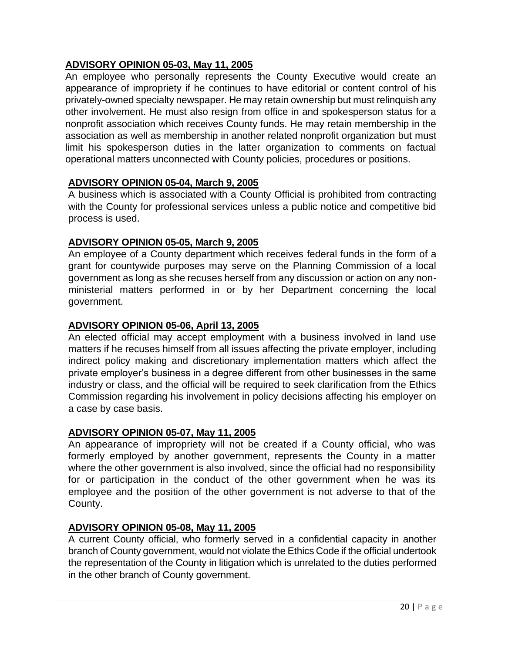## **ADVISORY OPINION 05-03, May 11, 2005**

An employee who personally represents the County Executive would create an appearance of impropriety if he continues to have editorial or content control of his privately-owned specialty newspaper. He may retain ownership but must relinquish any other involvement. He must also resign from office in and spokesperson status for a nonprofit association which receives County funds. He may retain membership in the association as well as membership in another related nonprofit organization but must limit his spokesperson duties in the latter organization to comments on factual operational matters unconnected with County policies, procedures or positions.

#### **ADVISORY OPINION 05-04, March 9, 2005**

A business which is associated with a County Official is prohibited from contracting with the County for professional services unless a public notice and competitive bid process is used.

#### **ADVISORY OPINION 05-05, March 9, 2005**

An employee of a County department which receives federal funds in the form of a grant for countywide purposes may serve on the Planning Commission of a local government as long as she recuses herself from any discussion or action on any nonministerial matters performed in or by her Department concerning the local government.

#### **ADVISORY OPINION 05-06, April 13, 2005**

An elected official may accept employment with a business involved in land use matters if he recuses himself from all issues affecting the private employer, including indirect policy making and discretionary implementation matters which affect the private employer's business in a degree different from other businesses in the same industry or class, and the official will be required to seek clarification from the Ethics Commission regarding his involvement in policy decisions affecting his employer on a case by case basis.

#### **ADVISORY OPINION 05-07, May 11, 2005**

An appearance of impropriety will not be created if a County official, who was formerly employed by another government, represents the County in a matter where the other government is also involved, since the official had no responsibility for or participation in the conduct of the other government when he was its employee and the position of the other government is not adverse to that of the County.

#### **ADVISORY OPINION 05-08, May 11, 2005**

A current County official, who formerly served in a confidential capacity in another branch of County government, would not violate the Ethics Code if the official undertook the representation of the County in litigation which is unrelated to the duties performed in the other branch of County government.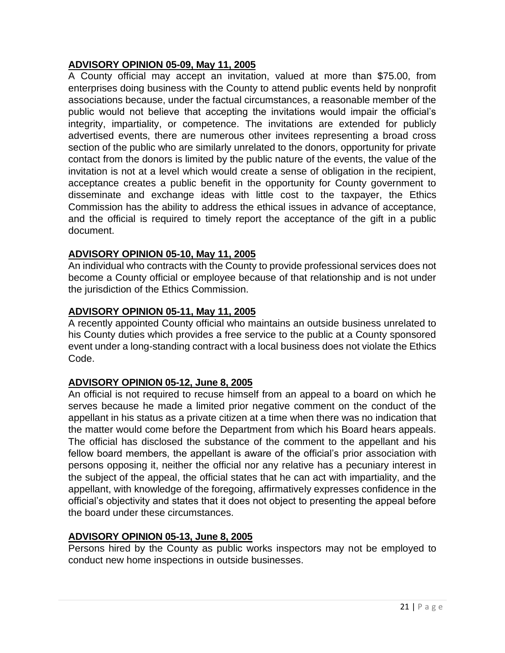### **ADVISORY OPINION 05-09, May 11, 2005**

A County official may accept an invitation, valued at more than \$75.00, from enterprises doing business with the County to attend public events held by nonprofit associations because, under the factual circumstances, a reasonable member of the public would not believe that accepting the invitations would impair the official's integrity, impartiality, or competence. The invitations are extended for publicly advertised events, there are numerous other invitees representing a broad cross section of the public who are similarly unrelated to the donors, opportunity for private contact from the donors is limited by the public nature of the events, the value of the invitation is not at a level which would create a sense of obligation in the recipient, acceptance creates a public benefit in the opportunity for County government to disseminate and exchange ideas with little cost to the taxpayer, the Ethics Commission has the ability to address the ethical issues in advance of acceptance, and the official is required to timely report the acceptance of the gift in a public document.

#### **ADVISORY OPINION 05-10, May 11, 2005**

An individual who contracts with the County to provide professional services does not become a County official or employee because of that relationship and is not under the jurisdiction of the Ethics Commission.

#### **ADVISORY OPINION 05-11, May 11, 2005**

A recently appointed County official who maintains an outside business unrelated to his County duties which provides a free service to the public at a County sponsored event under a long-standing contract with a local business does not violate the Ethics Code.

### **ADVISORY OPINION 05-12, June 8, 2005**

An official is not required to recuse himself from an appeal to a board on which he serves because he made a limited prior negative comment on the conduct of the appellant in his status as a private citizen at a time when there was no indication that the matter would come before the Department from which his Board hears appeals. The official has disclosed the substance of the comment to the appellant and his fellow board members, the appellant is aware of the official's prior association with persons opposing it, neither the official nor any relative has a pecuniary interest in the subject of the appeal, the official states that he can act with impartiality, and the appellant, with knowledge of the foregoing, affirmatively expresses confidence in the official's objectivity and states that it does not object to presenting the appeal before the board under these circumstances.

### **ADVISORY OPINION 05-13, June 8, 2005**

Persons hired by the County as public works inspectors may not be employed to conduct new home inspections in outside businesses.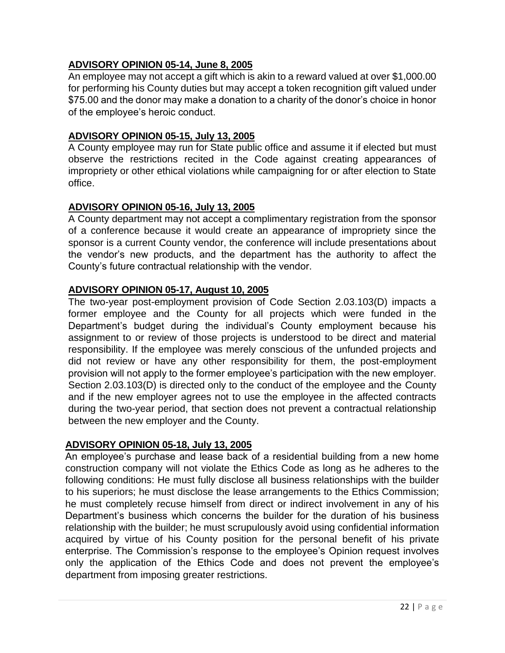### **ADVISORY OPINION 05-14, June 8, 2005**

An employee may not accept a gift which is akin to a reward valued at over \$1,000.00 for performing his County duties but may accept a token recognition gift valued under \$75.00 and the donor may make a donation to a charity of the donor's choice in honor of the employee's heroic conduct.

#### **ADVISORY OPINION 05-15, July 13, 2005**

A County employee may run for State public office and assume it if elected but must observe the restrictions recited in the Code against creating appearances of impropriety or other ethical violations while campaigning for or after election to State office.

#### **ADVISORY OPINION 05-16, July 13, 2005**

A County department may not accept a complimentary registration from the sponsor of a conference because it would create an appearance of impropriety since the sponsor is a current County vendor, the conference will include presentations about the vendor's new products, and the department has the authority to affect the County's future contractual relationship with the vendor.

#### **ADVISORY OPINION 05-17, August 10, 2005**

The two-year post-employment provision of Code Section 2.03.103(D) impacts a former employee and the County for all projects which were funded in the Department's budget during the individual's County employment because his assignment to or review of those projects is understood to be direct and material responsibility. If the employee was merely conscious of the unfunded projects and did not review or have any other responsibility for them, the post-employment provision will not apply to the former employee's participation with the new employer. Section 2.03.103(D) is directed only to the conduct of the employee and the County and if the new employer agrees not to use the employee in the affected contracts during the two-year period, that section does not prevent a contractual relationship between the new employer and the County.

#### **ADVISORY OPINION 05-18, July 13, 2005**

An employee's purchase and lease back of a residential building from a new home construction company will not violate the Ethics Code as long as he adheres to the following conditions: He must fully disclose all business relationships with the builder to his superiors; he must disclose the lease arrangements to the Ethics Commission; he must completely recuse himself from direct or indirect involvement in any of his Department's business which concerns the builder for the duration of his business relationship with the builder; he must scrupulously avoid using confidential information acquired by virtue of his County position for the personal benefit of his private enterprise. The Commission's response to the employee's Opinion request involves only the application of the Ethics Code and does not prevent the employee's department from imposing greater restrictions.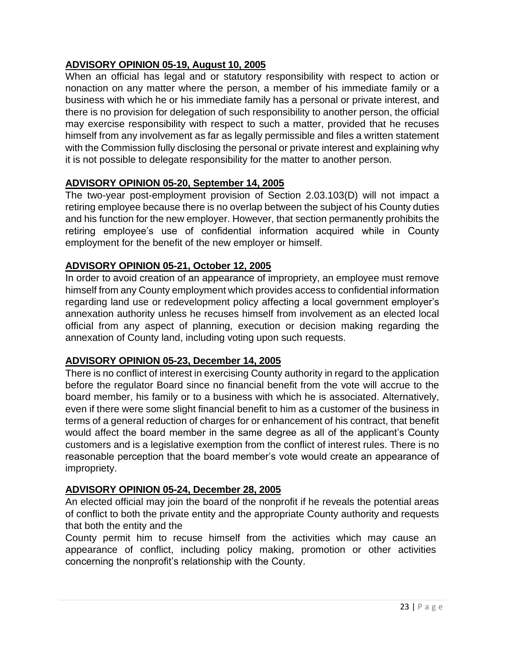## **ADVISORY OPINION 05-19, August 10, 2005**

When an official has legal and or statutory responsibility with respect to action or nonaction on any matter where the person, a member of his immediate family or a business with which he or his immediate family has a personal or private interest, and there is no provision for delegation of such responsibility to another person, the official may exercise responsibility with respect to such a matter, provided that he recuses himself from any involvement as far as legally permissible and files a written statement with the Commission fully disclosing the personal or private interest and explaining why it is not possible to delegate responsibility for the matter to another person.

### **ADVISORY OPINION 05-20, September 14, 2005**

The two-year post-employment provision of Section 2.03.103(D) will not impact a retiring employee because there is no overlap between the subject of his County duties and his function for the new employer. However, that section permanently prohibits the retiring employee's use of confidential information acquired while in County employment for the benefit of the new employer or himself.

#### **ADVISORY OPINION 05-21, October 12, 2005**

In order to avoid creation of an appearance of impropriety, an employee must remove himself from any County employment which provides access to confidential information regarding land use or redevelopment policy affecting a local government employer's annexation authority unless he recuses himself from involvement as an elected local official from any aspect of planning, execution or decision making regarding the annexation of County land, including voting upon such requests.

### **ADVISORY OPINION 05-23, December 14, 2005**

There is no conflict of interest in exercising County authority in regard to the application before the regulator Board since no financial benefit from the vote will accrue to the board member, his family or to a business with which he is associated. Alternatively, even if there were some slight financial benefit to him as a customer of the business in terms of a general reduction of charges for or enhancement of his contract, that benefit would affect the board member in the same degree as all of the applicant's County customers and is a legislative exemption from the conflict of interest rules. There is no reasonable perception that the board member's vote would create an appearance of impropriety.

### **ADVISORY OPINION 05-24, December 28, 2005**

An elected official may join the board of the nonprofit if he reveals the potential areas of conflict to both the private entity and the appropriate County authority and requests that both the entity and the

County permit him to recuse himself from the activities which may cause an appearance of conflict, including policy making, promotion or other activities concerning the nonprofit's relationship with the County.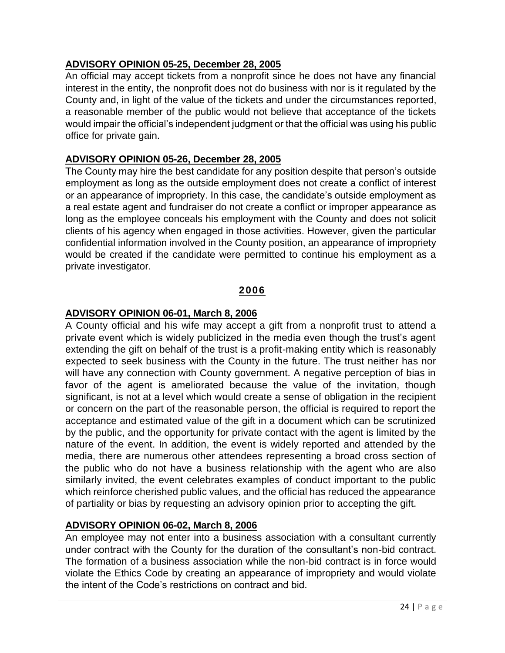### **ADVISORY OPINION 05-25, December 28, 2005**

An official may accept tickets from a nonprofit since he does not have any financial interest in the entity, the nonprofit does not do business with nor is it regulated by the County and, in light of the value of the tickets and under the circumstances reported, a reasonable member of the public would not believe that acceptance of the tickets would impair the official's independent judgment or that the official was using his public office for private gain.

### **ADVISORY OPINION 05-26, December 28, 2005**

The County may hire the best candidate for any position despite that person's outside employment as long as the outside employment does not create a conflict of interest or an appearance of impropriety. In this case, the candidate's outside employment as a real estate agent and fundraiser do not create a conflict or improper appearance as long as the employee conceals his employment with the County and does not solicit clients of his agency when engaged in those activities. However, given the particular confidential information involved in the County position, an appearance of impropriety would be created if the candidate were permitted to continue his employment as a private investigator.

#### **2006**

### **ADVISORY OPINION 06-01, March 8, 2006**

A County official and his wife may accept a gift from a nonprofit trust to attend a private event which is widely publicized in the media even though the trust's agent extending the gift on behalf of the trust is a profit-making entity which is reasonably expected to seek business with the County in the future. The trust neither has nor will have any connection with County government. A negative perception of bias in favor of the agent is ameliorated because the value of the invitation, though significant, is not at a level which would create a sense of obligation in the recipient or concern on the part of the reasonable person, the official is required to report the acceptance and estimated value of the gift in a document which can be scrutinized by the public, and the opportunity for private contact with the agent is limited by the nature of the event. In addition, the event is widely reported and attended by the media, there are numerous other attendees representing a broad cross section of the public who do not have a business relationship with the agent who are also similarly invited, the event celebrates examples of conduct important to the public which reinforce cherished public values, and the official has reduced the appearance of partiality or bias by requesting an advisory opinion prior to accepting the gift.

### **ADVISORY OPINION 06-02, March 8, 2006**

An employee may not enter into a business association with a consultant currently under contract with the County for the duration of the consultant's non-bid contract. The formation of a business association while the non-bid contract is in force would violate the Ethics Code by creating an appearance of impropriety and would violate the intent of the Code's restrictions on contract and bid.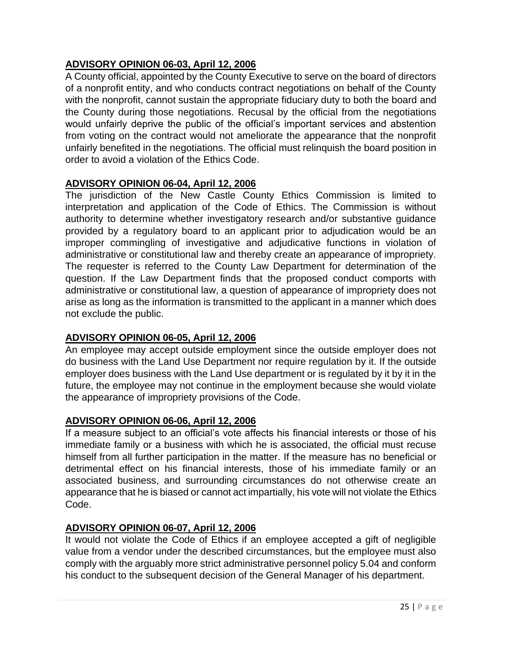## **ADVISORY OPINION 06-03, April 12, 2006**

A County official, appointed by the County Executive to serve on the board of directors of a nonprofit entity, and who conducts contract negotiations on behalf of the County with the nonprofit, cannot sustain the appropriate fiduciary duty to both the board and the County during those negotiations. Recusal by the official from the negotiations would unfairly deprive the public of the official's important services and abstention from voting on the contract would not ameliorate the appearance that the nonprofit unfairly benefited in the negotiations. The official must relinquish the board position in order to avoid a violation of the Ethics Code.

### **ADVISORY OPINION 06-04, April 12, 2006**

The jurisdiction of the New Castle County Ethics Commission is limited to interpretation and application of the Code of Ethics. The Commission is without authority to determine whether investigatory research and/or substantive guidance provided by a regulatory board to an applicant prior to adjudication would be an improper commingling of investigative and adjudicative functions in violation of administrative or constitutional law and thereby create an appearance of impropriety. The requester is referred to the County Law Department for determination of the question. If the Law Department finds that the proposed conduct comports with administrative or constitutional law, a question of appearance of impropriety does not arise as long as the information is transmitted to the applicant in a manner which does not exclude the public.

### **ADVISORY OPINION 06-05, April 12, 2006**

An employee may accept outside employment since the outside employer does not do business with the Land Use Department nor require regulation by it. If the outside employer does business with the Land Use department or is regulated by it by it in the future, the employee may not continue in the employment because she would violate the appearance of impropriety provisions of the Code.

## **ADVISORY OPINION 06-06, April 12, 2006**

If a measure subject to an official's vote affects his financial interests or those of his immediate family or a business with which he is associated, the official must recuse himself from all further participation in the matter. If the measure has no beneficial or detrimental effect on his financial interests, those of his immediate family or an associated business, and surrounding circumstances do not otherwise create an appearance that he is biased or cannot act impartially, his vote will not violate the Ethics Code.

## **ADVISORY OPINION 06-07, April 12, 2006**

It would not violate the Code of Ethics if an employee accepted a gift of negligible value from a vendor under the described circumstances, but the employee must also comply with the arguably more strict administrative personnel policy 5.04 and conform his conduct to the subsequent decision of the General Manager of his department.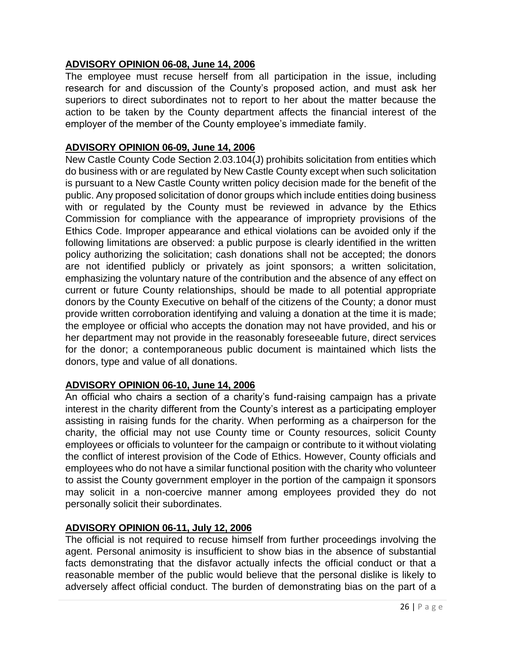### **ADVISORY OPINION 06-08, June 14, 2006**

The employee must recuse herself from all participation in the issue, including research for and discussion of the County's proposed action, and must ask her superiors to direct subordinates not to report to her about the matter because the action to be taken by the County department affects the financial interest of the employer of the member of the County employee's immediate family.

### **ADVISORY OPINION 06-09, June 14, 2006**

New Castle County Code Section 2.03.104(J) prohibits solicitation from entities which do business with or are regulated by New Castle County except when such solicitation is pursuant to a New Castle County written policy decision made for the benefit of the public. Any proposed solicitation of donor groups which include entities doing business with or regulated by the County must be reviewed in advance by the Ethics Commission for compliance with the appearance of impropriety provisions of the Ethics Code. Improper appearance and ethical violations can be avoided only if the following limitations are observed: a public purpose is clearly identified in the written policy authorizing the solicitation; cash donations shall not be accepted; the donors are not identified publicly or privately as joint sponsors; a written solicitation, emphasizing the voluntary nature of the contribution and the absence of any effect on current or future County relationships, should be made to all potential appropriate donors by the County Executive on behalf of the citizens of the County; a donor must provide written corroboration identifying and valuing a donation at the time it is made; the employee or official who accepts the donation may not have provided, and his or her department may not provide in the reasonably foreseeable future, direct services for the donor; a contemporaneous public document is maintained which lists the donors, type and value of all donations.

## **ADVISORY OPINION 06-10, June 14, 2006**

An official who chairs a section of a charity's fund-raising campaign has a private interest in the charity different from the County's interest as a participating employer assisting in raising funds for the charity. When performing as a chairperson for the charity, the official may not use County time or County resources, solicit County employees or officials to volunteer for the campaign or contribute to it without violating the conflict of interest provision of the Code of Ethics. However, County officials and employees who do not have a similar functional position with the charity who volunteer to assist the County government employer in the portion of the campaign it sponsors may solicit in a non-coercive manner among employees provided they do not personally solicit their subordinates.

### **ADVISORY OPINION 06-11, July 12, 2006**

The official is not required to recuse himself from further proceedings involving the agent. Personal animosity is insufficient to show bias in the absence of substantial facts demonstrating that the disfavor actually infects the official conduct or that a reasonable member of the public would believe that the personal dislike is likely to adversely affect official conduct. The burden of demonstrating bias on the part of a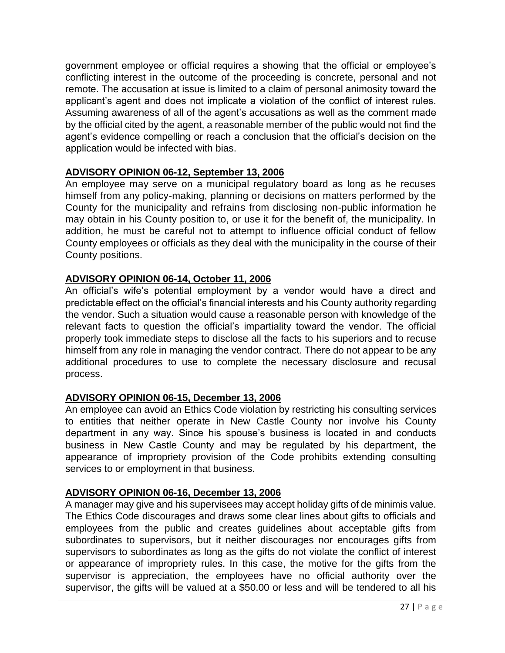government employee or official requires a showing that the official or employee's conflicting interest in the outcome of the proceeding is concrete, personal and not remote. The accusation at issue is limited to a claim of personal animosity toward the applicant's agent and does not implicate a violation of the conflict of interest rules. Assuming awareness of all of the agent's accusations as well as the comment made by the official cited by the agent, a reasonable member of the public would not find the agent's evidence compelling or reach a conclusion that the official's decision on the application would be infected with bias.

## **ADVISORY OPINION 06-12, September 13, 2006**

An employee may serve on a municipal regulatory board as long as he recuses himself from any policy-making, planning or decisions on matters performed by the County for the municipality and refrains from disclosing non-public information he may obtain in his County position to, or use it for the benefit of, the municipality. In addition, he must be careful not to attempt to influence official conduct of fellow County employees or officials as they deal with the municipality in the course of their County positions.

### **ADVISORY OPINION 06-14, October 11, 2006**

An official's wife's potential employment by a vendor would have a direct and predictable effect on the official's financial interests and his County authority regarding the vendor. Such a situation would cause a reasonable person with knowledge of the relevant facts to question the official's impartiality toward the vendor. The official properly took immediate steps to disclose all the facts to his superiors and to recuse himself from any role in managing the vendor contract. There do not appear to be any additional procedures to use to complete the necessary disclosure and recusal process.

### **ADVISORY OPINION 06-15, December 13, 2006**

An employee can avoid an Ethics Code violation by restricting his consulting services to entities that neither operate in New Castle County nor involve his County department in any way. Since his spouse's business is located in and conducts business in New Castle County and may be regulated by his department, the appearance of impropriety provision of the Code prohibits extending consulting services to or employment in that business.

## **ADVISORY OPINION 06-16, December 13, 2006**

A manager may give and his supervisees may accept holiday gifts of de minimis value. The Ethics Code discourages and draws some clear lines about gifts to officials and employees from the public and creates guidelines about acceptable gifts from subordinates to supervisors, but it neither discourages nor encourages gifts from supervisors to subordinates as long as the gifts do not violate the conflict of interest or appearance of impropriety rules. In this case, the motive for the gifts from the supervisor is appreciation, the employees have no official authority over the supervisor, the gifts will be valued at a \$50.00 or less and will be tendered to all his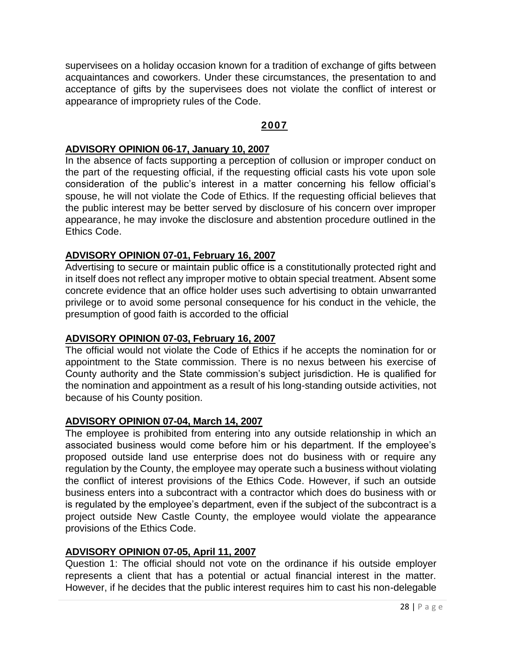supervisees on a holiday occasion known for a tradition of exchange of gifts between acquaintances and coworkers. Under these circumstances, the presentation to and acceptance of gifts by the supervisees does not violate the conflict of interest or appearance of impropriety rules of the Code.

#### **2007**

#### **ADVISORY OPINION 06-17, January 10, 2007**

In the absence of facts supporting a perception of collusion or improper conduct on the part of the requesting official, if the requesting official casts his vote upon sole consideration of the public's interest in a matter concerning his fellow official's spouse, he will not violate the Code of Ethics. If the requesting official believes that the public interest may be better served by disclosure of his concern over improper appearance, he may invoke the disclosure and abstention procedure outlined in the Ethics Code.

#### **ADVISORY OPINION 07-01, February 16, 2007**

Advertising to secure or maintain public office is a constitutionally protected right and in itself does not reflect any improper motive to obtain special treatment. Absent some concrete evidence that an office holder uses such advertising to obtain unwarranted privilege or to avoid some personal consequence for his conduct in the vehicle, the presumption of good faith is accorded to the official

#### **ADVISORY OPINION 07-03, February 16, 2007**

The official would not violate the Code of Ethics if he accepts the nomination for or appointment to the State commission. There is no nexus between his exercise of County authority and the State commission's subject jurisdiction. He is qualified for the nomination and appointment as a result of his long-standing outside activities, not because of his County position.

#### **ADVISORY OPINION 07-04, March 14, 2007**

The employee is prohibited from entering into any outside relationship in which an associated business would come before him or his department. If the employee's proposed outside land use enterprise does not do business with or require any regulation by the County, the employee may operate such a business without violating the conflict of interest provisions of the Ethics Code. However, if such an outside business enters into a subcontract with a contractor which does do business with or is regulated by the employee's department, even if the subject of the subcontract is a project outside New Castle County, the employee would violate the appearance provisions of the Ethics Code.

#### **ADVISORY OPINION 07-05, April 11, 2007**

Question 1: The official should not vote on the ordinance if his outside employer represents a client that has a potential or actual financial interest in the matter. However, if he decides that the public interest requires him to cast his non-delegable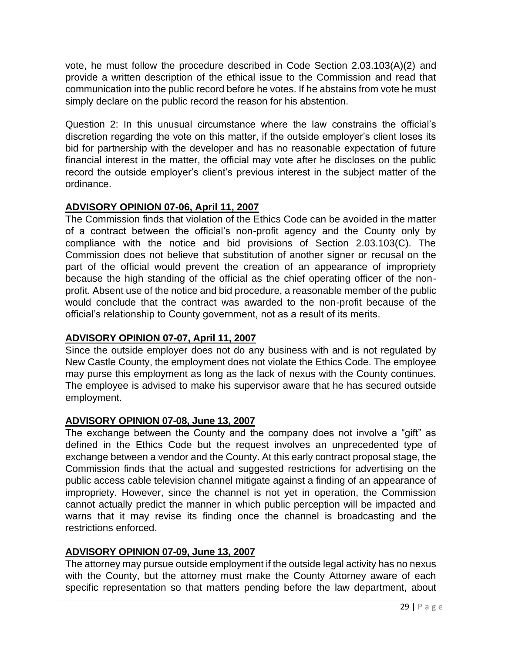vote, he must follow the procedure described in Code Section 2.03.103(A)(2) and provide a written description of the ethical issue to the Commission and read that communication into the public record before he votes. If he abstains from vote he must simply declare on the public record the reason for his abstention.

Question 2: In this unusual circumstance where the law constrains the official's discretion regarding the vote on this matter, if the outside employer's client loses its bid for partnership with the developer and has no reasonable expectation of future financial interest in the matter, the official may vote after he discloses on the public record the outside employer's client's previous interest in the subject matter of the ordinance.

#### **ADVISORY OPINION 07-06, April 11, 2007**

The Commission finds that violation of the Ethics Code can be avoided in the matter of a contract between the official's non-profit agency and the County only by compliance with the notice and bid provisions of Section 2.03.103(C). The Commission does not believe that substitution of another signer or recusal on the part of the official would prevent the creation of an appearance of impropriety because the high standing of the official as the chief operating officer of the nonprofit. Absent use of the notice and bid procedure, a reasonable member of the public would conclude that the contract was awarded to the non-profit because of the official's relationship to County government, not as a result of its merits.

### **ADVISORY OPINION 07-07, April 11, 2007**

Since the outside employer does not do any business with and is not regulated by New Castle County, the employment does not violate the Ethics Code. The employee may purse this employment as long as the lack of nexus with the County continues. The employee is advised to make his supervisor aware that he has secured outside employment.

### **ADVISORY OPINION 07-08, June 13, 2007**

The exchange between the County and the company does not involve a "gift" as defined in the Ethics Code but the request involves an unprecedented type of exchange between a vendor and the County. At this early contract proposal stage, the Commission finds that the actual and suggested restrictions for advertising on the public access cable television channel mitigate against a finding of an appearance of impropriety. However, since the channel is not yet in operation, the Commission cannot actually predict the manner in which public perception will be impacted and warns that it may revise its finding once the channel is broadcasting and the restrictions enforced.

#### **ADVISORY OPINION 07-09, June 13, 2007**

The attorney may pursue outside employment if the outside legal activity has no nexus with the County, but the attorney must make the County Attorney aware of each specific representation so that matters pending before the law department, about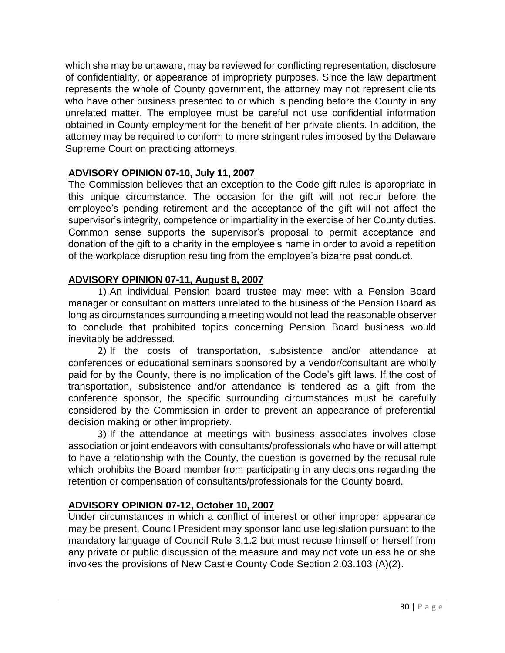which she may be unaware, may be reviewed for conflicting representation, disclosure of confidentiality, or appearance of impropriety purposes. Since the law department represents the whole of County government, the attorney may not represent clients who have other business presented to or which is pending before the County in any unrelated matter. The employee must be careful not use confidential information obtained in County employment for the benefit of her private clients. In addition, the attorney may be required to conform to more stringent rules imposed by the Delaware Supreme Court on practicing attorneys.

## **ADVISORY OPINION 07-10, July 11, 2007**

The Commission believes that an exception to the Code gift rules is appropriate in this unique circumstance. The occasion for the gift will not recur before the employee's pending retirement and the acceptance of the gift will not affect the supervisor's integrity, competence or impartiality in the exercise of her County duties. Common sense supports the supervisor's proposal to permit acceptance and donation of the gift to a charity in the employee's name in order to avoid a repetition of the workplace disruption resulting from the employee's bizarre past conduct.

## **ADVISORY OPINION 07-11, August 8, 2007**

1) An individual Pension board trustee may meet with a Pension Board manager or consultant on matters unrelated to the business of the Pension Board as long as circumstances surrounding a meeting would not lead the reasonable observer to conclude that prohibited topics concerning Pension Board business would inevitably be addressed.

2) If the costs of transportation, subsistence and/or attendance at conferences or educational seminars sponsored by a vendor/consultant are wholly paid for by the County, there is no implication of the Code's gift laws. If the cost of transportation, subsistence and/or attendance is tendered as a gift from the conference sponsor, the specific surrounding circumstances must be carefully considered by the Commission in order to prevent an appearance of preferential decision making or other impropriety.

3) If the attendance at meetings with business associates involves close association or joint endeavors with consultants/professionals who have or will attempt to have a relationship with the County, the question is governed by the recusal rule which prohibits the Board member from participating in any decisions regarding the retention or compensation of consultants/professionals for the County board.

## **ADVISORY OPINION 07-12, October 10, 2007**

Under circumstances in which a conflict of interest or other improper appearance may be present, Council President may sponsor land use legislation pursuant to the mandatory language of Council Rule 3.1.2 but must recuse himself or herself from any private or public discussion of the measure and may not vote unless he or she invokes the provisions of New Castle County Code Section 2.03.103 (A)(2).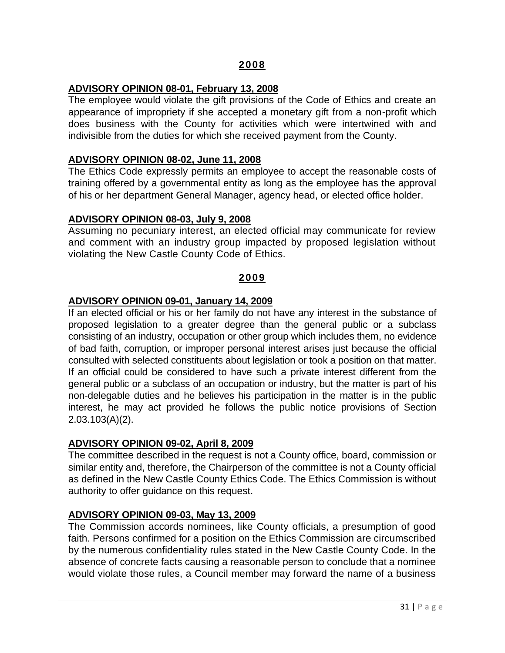#### **ADVISORY OPINION 08-01, February 13, 2008**

The employee would violate the gift provisions of the Code of Ethics and create an appearance of impropriety if she accepted a monetary gift from a non-profit which does business with the County for activities which were intertwined with and indivisible from the duties for which she received payment from the County.

#### **ADVISORY OPINION 08-02, June 11, 2008**

The Ethics Code expressly permits an employee to accept the reasonable costs of training offered by a governmental entity as long as the employee has the approval of his or her department General Manager, agency head, or elected office holder.

#### **ADVISORY OPINION 08-03, July 9, 2008**

Assuming no pecuniary interest, an elected official may communicate for review and comment with an industry group impacted by proposed legislation without violating the New Castle County Code of Ethics.

#### **2009**

#### **ADVISORY OPINION 09-01, January 14, 2009**

If an elected official or his or her family do not have any interest in the substance of proposed legislation to a greater degree than the general public or a subclass consisting of an industry, occupation or other group which includes them, no evidence of bad faith, corruption, or improper personal interest arises just because the official consulted with selected constituents about legislation or took a position on that matter. If an official could be considered to have such a private interest different from the general public or a subclass of an occupation or industry, but the matter is part of his non-delegable duties and he believes his participation in the matter is in the public interest, he may act provided he follows the public notice provisions of Section 2.03.103(A)(2).

#### **ADVISORY OPINION 09-02, April 8, 2009**

The committee described in the request is not a County office, board, commission or similar entity and, therefore, the Chairperson of the committee is not a County official as defined in the New Castle County Ethics Code. The Ethics Commission is without authority to offer guidance on this request.

#### **ADVISORY OPINION 09-03, May 13, 2009**

The Commission accords nominees, like County officials, a presumption of good faith. Persons confirmed for a position on the Ethics Commission are circumscribed by the numerous confidentiality rules stated in the New Castle County Code. In the absence of concrete facts causing a reasonable person to conclude that a nominee would violate those rules, a Council member may forward the name of a business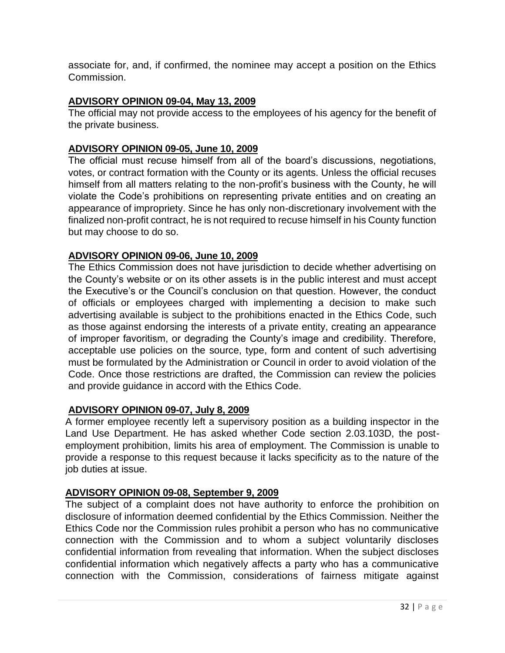associate for, and, if confirmed, the nominee may accept a position on the Ethics Commission.

### **ADVISORY OPINION 09-04, May 13, 2009**

The official may not provide access to the employees of his agency for the benefit of the private business.

### **ADVISORY OPINION 09-05, June 10, 2009**

The official must recuse himself from all of the board's discussions, negotiations, votes, or contract formation with the County or its agents. Unless the official recuses himself from all matters relating to the non-profit's business with the County, he will violate the Code's prohibitions on representing private entities and on creating an appearance of impropriety. Since he has only non-discretionary involvement with the finalized non-profit contract, he is not required to recuse himself in his County function but may choose to do so.

### **ADVISORY OPINION 09-06, June 10, 2009**

The Ethics Commission does not have jurisdiction to decide whether advertising on the County's website or on its other assets is in the public interest and must accept the Executive's or the Council's conclusion on that question. However, the conduct of officials or employees charged with implementing a decision to make such advertising available is subject to the prohibitions enacted in the Ethics Code, such as those against endorsing the interests of a private entity, creating an appearance of improper favoritism, or degrading the County's image and credibility. Therefore, acceptable use policies on the source, type, form and content of such advertising must be formulated by the Administration or Council in order to avoid violation of the Code. Once those restrictions are drafted, the Commission can review the policies and provide guidance in accord with the Ethics Code.

### **ADVISORY OPINION 09-07, July 8, 2009**

A former employee recently left a supervisory position as a building inspector in the Land Use Department. He has asked whether Code section 2.03.103D, the postemployment prohibition, limits his area of employment. The Commission is unable to provide a response to this request because it lacks specificity as to the nature of the job duties at issue.

### **ADVISORY OPINION 09-08, September 9, 2009**

The subject of a complaint does not have authority to enforce the prohibition on disclosure of information deemed confidential by the Ethics Commission. Neither the Ethics Code nor the Commission rules prohibit a person who has no communicative connection with the Commission and to whom a subject voluntarily discloses confidential information from revealing that information. When the subject discloses confidential information which negatively affects a party who has a communicative connection with the Commission, considerations of fairness mitigate against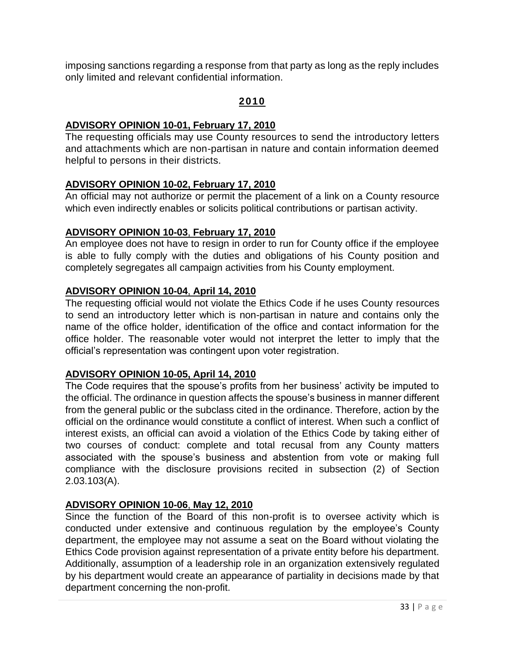imposing sanctions regarding a response from that party as long as the reply includes only limited and relevant confidential information.

## **2010**

## **ADVISORY OPINION 10-01, February 17, 2010**

The requesting officials may use County resources to send the introductory letters and attachments which are non-partisan in nature and contain information deemed helpful to persons in their districts.

### **ADVISORY OPINION 10-02, February 17, 2010**

An official may not authorize or permit the placement of a link on a County resource which even indirectly enables or solicits political contributions or partisan activity.

## **ADVISORY OPINION 10-03**, **February 17, 2010**

An employee does not have to resign in order to run for County office if the employee is able to fully comply with the duties and obligations of his County position and completely segregates all campaign activities from his County employment.

### **ADVISORY OPINION 10-04**, **April 14, 2010**

The requesting official would not violate the Ethics Code if he uses County resources to send an introductory letter which is non-partisan in nature and contains only the name of the office holder, identification of the office and contact information for the office holder. The reasonable voter would not interpret the letter to imply that the official's representation was contingent upon voter registration.

### **ADVISORY OPINION 10-05, April 14, 2010**

The Code requires that the spouse's profits from her business' activity be imputed to the official. The ordinance in question affects the spouse's business in manner different from the general public or the subclass cited in the ordinance. Therefore, action by the official on the ordinance would constitute a conflict of interest. When such a conflict of interest exists, an official can avoid a violation of the Ethics Code by taking either of two courses of conduct: complete and total recusal from any County matters associated with the spouse's business and abstention from vote or making full compliance with the disclosure provisions recited in subsection (2) of Section 2.03.103(A).

## **ADVISORY OPINION 10-06**, **May 12, 2010**

Since the function of the Board of this non-profit is to oversee activity which is conducted under extensive and continuous regulation by the employee's County department, the employee may not assume a seat on the Board without violating the Ethics Code provision against representation of a private entity before his department. Additionally, assumption of a leadership role in an organization extensively regulated by his department would create an appearance of partiality in decisions made by that department concerning the non-profit.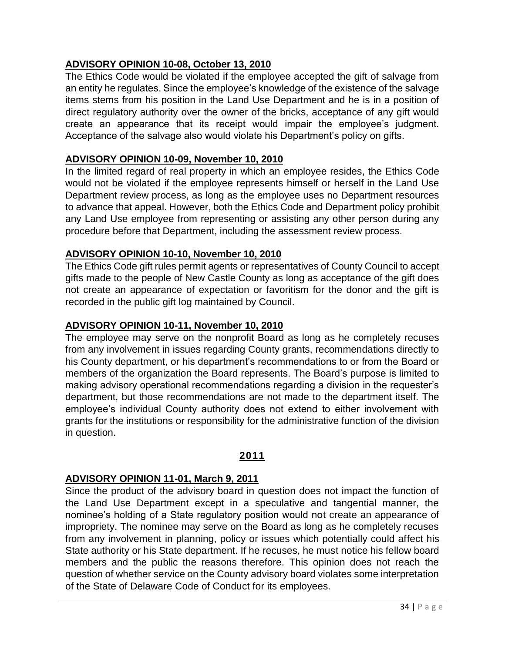### **ADVISORY OPINION 10-08, October 13, 2010**

The Ethics Code would be violated if the employee accepted the gift of salvage from an entity he regulates. Since the employee's knowledge of the existence of the salvage items stems from his position in the Land Use Department and he is in a position of direct regulatory authority over the owner of the bricks, acceptance of any gift would create an appearance that its receipt would impair the employee's judgment. Acceptance of the salvage also would violate his Department's policy on gifts.

#### **ADVISORY OPINION 10-09, November 10, 2010**

In the limited regard of real property in which an employee resides, the Ethics Code would not be violated if the employee represents himself or herself in the Land Use Department review process, as long as the employee uses no Department resources to advance that appeal. However, both the Ethics Code and Department policy prohibit any Land Use employee from representing or assisting any other person during any procedure before that Department, including the assessment review process.

#### **ADVISORY OPINION 10-10, November 10, 2010**

The Ethics Code gift rules permit agents or representatives of County Council to accept gifts made to the people of New Castle County as long as acceptance of the gift does not create an appearance of expectation or favoritism for the donor and the gift is recorded in the public gift log maintained by Council.

#### **ADVISORY OPINION 10-11, November 10, 2010**

The employee may serve on the nonprofit Board as long as he completely recuses from any involvement in issues regarding County grants, recommendations directly to his County department, or his department's recommendations to or from the Board or members of the organization the Board represents. The Board's purpose is limited to making advisory operational recommendations regarding a division in the requester's department, but those recommendations are not made to the department itself. The employee's individual County authority does not extend to either involvement with grants for the institutions or responsibility for the administrative function of the division in question.

#### **2011**

#### **ADVISORY OPINION 11-01, March 9, 2011**

Since the product of the advisory board in question does not impact the function of the Land Use Department except in a speculative and tangential manner, the nominee's holding of a State regulatory position would not create an appearance of impropriety. The nominee may serve on the Board as long as he completely recuses from any involvement in planning, policy or issues which potentially could affect his State authority or his State department. If he recuses, he must notice his fellow board members and the public the reasons therefore. This opinion does not reach the question of whether service on the County advisory board violates some interpretation of the State of Delaware Code of Conduct for its employees.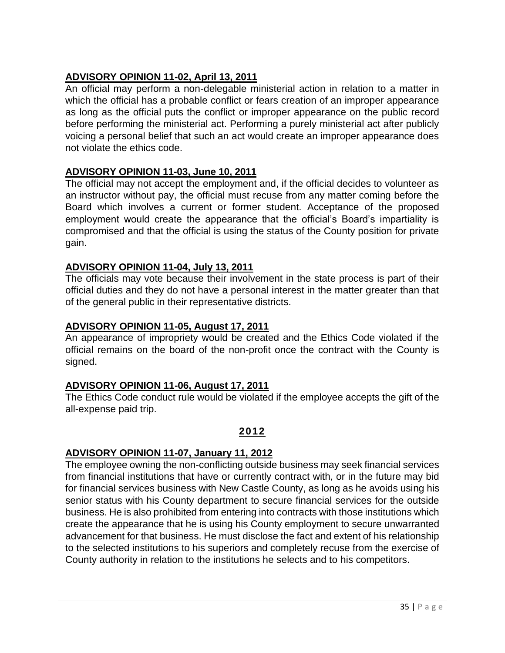## **ADVISORY OPINION 11-02, April 13, 2011**

An official may perform a non-delegable ministerial action in relation to a matter in which the official has a probable conflict or fears creation of an improper appearance as long as the official puts the conflict or improper appearance on the public record before performing the ministerial act. Performing a purely ministerial act after publicly voicing a personal belief that such an act would create an improper appearance does not violate the ethics code.

### **ADVISORY OPINION 11-03, June 10, 2011**

The official may not accept the employment and, if the official decides to volunteer as an instructor without pay, the official must recuse from any matter coming before the Board which involves a current or former student. Acceptance of the proposed employment would create the appearance that the official's Board's impartiality is compromised and that the official is using the status of the County position for private gain.

#### **ADVISORY OPINION 11-04, July 13, 2011**

The officials may vote because their involvement in the state process is part of their official duties and they do not have a personal interest in the matter greater than that of the general public in their representative districts.

#### **ADVISORY OPINION 11-05, August 17, 2011**

An appearance of impropriety would be created and the Ethics Code violated if the official remains on the board of the non-profit once the contract with the County is signed.

#### **ADVISORY OPINION 11-06, August 17, 2011**

The Ethics Code conduct rule would be violated if the employee accepts the gift of the all-expense paid trip.

#### **2012**

### **ADVISORY OPINION 11-07, January 11, 2012**

The employee owning the non-conflicting outside business may seek financial services from financial institutions that have or currently contract with, or in the future may bid for financial services business with New Castle County, as long as he avoids using his senior status with his County department to secure financial services for the outside business. He is also prohibited from entering into contracts with those institutions which create the appearance that he is using his County employment to secure unwarranted advancement for that business. He must disclose the fact and extent of his relationship to the selected institutions to his superiors and completely recuse from the exercise of County authority in relation to the institutions he selects and to his competitors.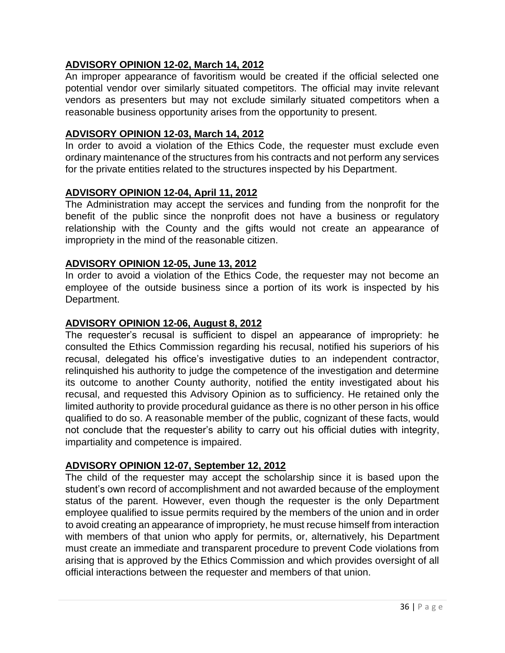## **ADVISORY OPINION 12-02, March 14, 2012**

An improper appearance of favoritism would be created if the official selected one potential vendor over similarly situated competitors. The official may invite relevant vendors as presenters but may not exclude similarly situated competitors when a reasonable business opportunity arises from the opportunity to present.

#### **ADVISORY OPINION 12-03, March 14, 2012**

In order to avoid a violation of the Ethics Code, the requester must exclude even ordinary maintenance of the structures from his contracts and not perform any services for the private entities related to the structures inspected by his Department.

#### **ADVISORY OPINION 12-04, April 11, 2012**

The Administration may accept the services and funding from the nonprofit for the benefit of the public since the nonprofit does not have a business or regulatory relationship with the County and the gifts would not create an appearance of impropriety in the mind of the reasonable citizen.

#### **ADVISORY OPINION 12-05, June 13, 2012**

In order to avoid a violation of the Ethics Code, the requester may not become an employee of the outside business since a portion of its work is inspected by his Department.

#### **ADVISORY OPINION 12-06, August 8, 2012**

The requester's recusal is sufficient to dispel an appearance of impropriety: he consulted the Ethics Commission regarding his recusal, notified his superiors of his recusal, delegated his office's investigative duties to an independent contractor, relinquished his authority to judge the competence of the investigation and determine its outcome to another County authority, notified the entity investigated about his recusal, and requested this Advisory Opinion as to sufficiency. He retained only the limited authority to provide procedural guidance as there is no other person in his office qualified to do so. A reasonable member of the public, cognizant of these facts, would not conclude that the requester's ability to carry out his official duties with integrity, impartiality and competence is impaired.

### **ADVISORY OPINION 12-07, September 12, 2012**

The child of the requester may accept the scholarship since it is based upon the student's own record of accomplishment and not awarded because of the employment status of the parent. However, even though the requester is the only Department employee qualified to issue permits required by the members of the union and in order to avoid creating an appearance of impropriety, he must recuse himself from interaction with members of that union who apply for permits, or, alternatively, his Department must create an immediate and transparent procedure to prevent Code violations from arising that is approved by the Ethics Commission and which provides oversight of all official interactions between the requester and members of that union.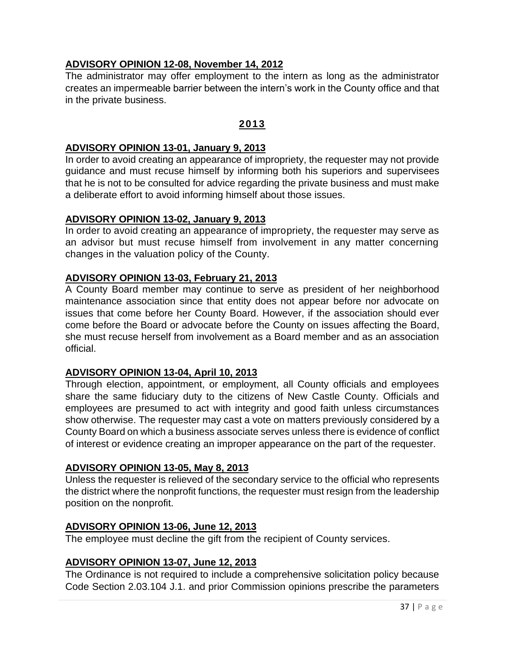### **ADVISORY OPINION 12-08, November 14, 2012**

The administrator may offer employment to the intern as long as the administrator creates an impermeable barrier between the intern's work in the County office and that in the private business.

#### **2013**

#### **ADVISORY OPINION 13-01, January 9, 2013**

In order to avoid creating an appearance of impropriety, the requester may not provide guidance and must recuse himself by informing both his superiors and supervisees that he is not to be consulted for advice regarding the private business and must make a deliberate effort to avoid informing himself about those issues.

#### **ADVISORY OPINION 13-02, January 9, 2013**

In order to avoid creating an appearance of impropriety, the requester may serve as an advisor but must recuse himself from involvement in any matter concerning changes in the valuation policy of the County.

#### **ADVISORY OPINION 13-03, February 21, 2013**

A County Board member may continue to serve as president of her neighborhood maintenance association since that entity does not appear before nor advocate on issues that come before her County Board. However, if the association should ever come before the Board or advocate before the County on issues affecting the Board, she must recuse herself from involvement as a Board member and as an association official.

#### **ADVISORY OPINION 13-04, April 10, 2013**

Through election, appointment, or employment, all County officials and employees share the same fiduciary duty to the citizens of New Castle County. Officials and employees are presumed to act with integrity and good faith unless circumstances show otherwise. The requester may cast a vote on matters previously considered by a County Board on which a business associate serves unless there is evidence of conflict of interest or evidence creating an improper appearance on the part of the requester.

#### **ADVISORY OPINION 13-05, May 8, 2013**

Unless the requester is relieved of the secondary service to the official who represents the district where the nonprofit functions, the requester must resign from the leadership position on the nonprofit.

#### **ADVISORY OPINION 13-06, June 12, 2013**

The employee must decline the gift from the recipient of County services.

#### **ADVISORY OPINION 13-07, June 12, 2013**

The Ordinance is not required to include a comprehensive solicitation policy because Code Section 2.03.104 J.1. and prior Commission opinions prescribe the parameters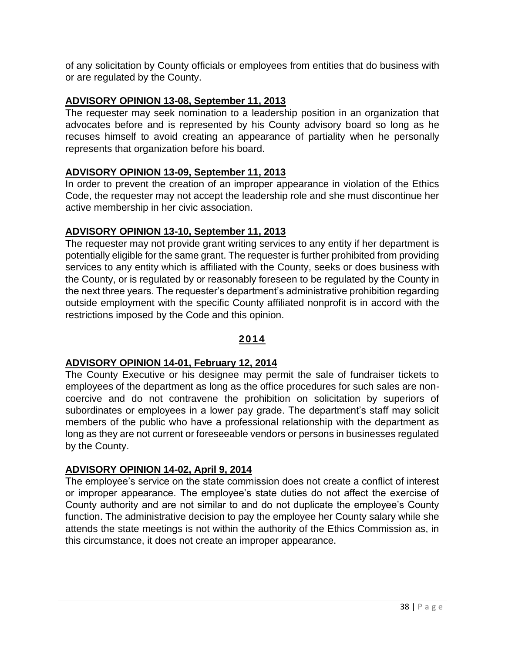of any solicitation by County officials or employees from entities that do business with or are regulated by the County.

### **ADVISORY OPINION 13-08, September 11, 2013**

The requester may seek nomination to a leadership position in an organization that advocates before and is represented by his County advisory board so long as he recuses himself to avoid creating an appearance of partiality when he personally represents that organization before his board.

## **ADVISORY OPINION 13-09, September 11, 2013**

In order to prevent the creation of an improper appearance in violation of the Ethics Code, the requester may not accept the leadership role and she must discontinue her active membership in her civic association.

## **ADVISORY OPINION 13-10, September 11, 2013**

The requester may not provide grant writing services to any entity if her department is potentially eligible for the same grant. The requester is further prohibited from providing services to any entity which is affiliated with the County, seeks or does business with the County, or is regulated by or reasonably foreseen to be regulated by the County in the next three years. The requester's department's administrative prohibition regarding outside employment with the specific County affiliated nonprofit is in accord with the restrictions imposed by the Code and this opinion.

## **2014**

### **ADVISORY OPINION 14-01, February 12, 2014**

The County Executive or his designee may permit the sale of fundraiser tickets to employees of the department as long as the office procedures for such sales are noncoercive and do not contravene the prohibition on solicitation by superiors of subordinates or employees in a lower pay grade. The department's staff may solicit members of the public who have a professional relationship with the department as long as they are not current or foreseeable vendors or persons in businesses regulated by the County.

### **ADVISORY OPINION 14-02, April 9, 2014**

The employee's service on the state commission does not create a conflict of interest or improper appearance. The employee's state duties do not affect the exercise of County authority and are not similar to and do not duplicate the employee's County function. The administrative decision to pay the employee her County salary while she attends the state meetings is not within the authority of the Ethics Commission as, in this circumstance, it does not create an improper appearance.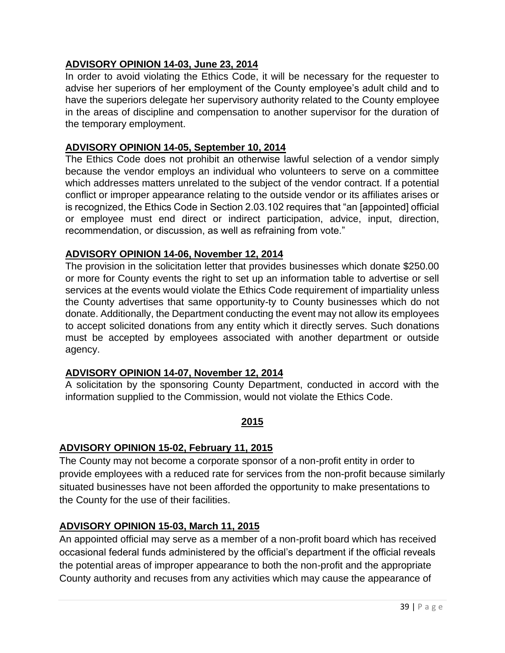### **ADVISORY OPINION 14-03, June 23, 2014**

In order to avoid violating the Ethics Code, it will be necessary for the requester to advise her superiors of her employment of the County employee's adult child and to have the superiors delegate her supervisory authority related to the County employee in the areas of discipline and compensation to another supervisor for the duration of the temporary employment.

#### **ADVISORY OPINION 14-05, September 10, 2014**

The Ethics Code does not prohibit an otherwise lawful selection of a vendor simply because the vendor employs an individual who volunteers to serve on a committee which addresses matters unrelated to the subject of the vendor contract. If a potential conflict or improper appearance relating to the outside vendor or its affiliates arises or is recognized, the Ethics Code in Section 2.03.102 requires that "an [appointed] official or employee must end direct or indirect participation, advice, input, direction, recommendation, or discussion, as well as refraining from vote."

#### **ADVISORY OPINION 14-06, November 12, 2014**

The provision in the solicitation letter that provides businesses which donate \$250.00 or more for County events the right to set up an information table to advertise or sell services at the events would violate the Ethics Code requirement of impartiality unless the County advertises that same opportunity-ty to County businesses which do not donate. Additionally, the Department conducting the event may not allow its employees to accept solicited donations from any entity which it directly serves. Such donations must be accepted by employees associated with another department or outside agency.

### **ADVISORY OPINION 14-07, November 12, 2014**

A solicitation by the sponsoring County Department, conducted in accord with the information supplied to the Commission, would not violate the Ethics Code.

#### **2015**

### **ADVISORY OPINION 15-02, February 11, 2015**

The County may not become a corporate sponsor of a non-profit entity in order to provide employees with a reduced rate for services from the non-profit because similarly situated businesses have not been afforded the opportunity to make presentations to the County for the use of their facilities.

### **ADVISORY OPINION 15-03, March 11, 2015**

An appointed official may serve as a member of a non-profit board which has received occasional federal funds administered by the official's department if the official reveals the potential areas of improper appearance to both the non-profit and the appropriate County authority and recuses from any activities which may cause the appearance of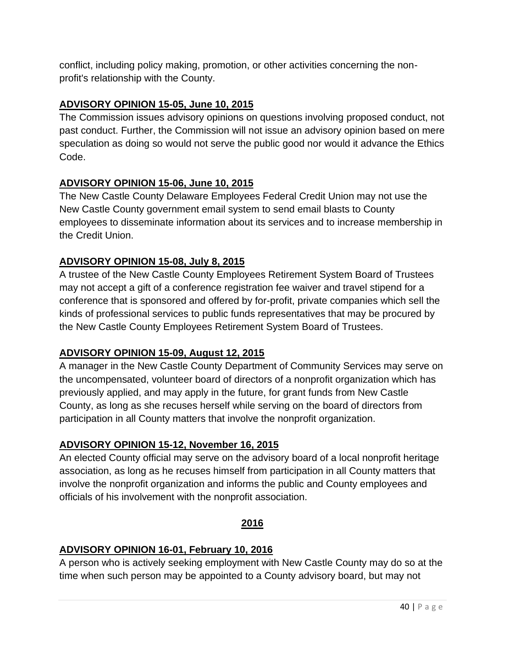conflict, including policy making, promotion, or other activities concerning the nonprofit's relationship with the County.

## **ADVISORY OPINION 15-05, June 10, 2015**

The Commission issues advisory opinions on questions involving proposed conduct, not past conduct. Further, the Commission will not issue an advisory opinion based on mere speculation as doing so would not serve the public good nor would it advance the Ethics Code.

## **ADVISORY OPINION 15-06, June 10, 2015**

The New Castle County Delaware Employees Federal Credit Union may not use the New Castle County government email system to send email blasts to County employees to disseminate information about its services and to increase membership in the Credit Union.

## **ADVISORY OPINION 15-08, July 8, 2015**

A trustee of the New Castle County Employees Retirement System Board of Trustees may not accept a gift of a conference registration fee waiver and travel stipend for a conference that is sponsored and offered by for-profit, private companies which sell the kinds of professional services to public funds representatives that may be procured by the New Castle County Employees Retirement System Board of Trustees.

## **ADVISORY OPINION 15-09, August 12, 2015**

A manager in the New Castle County Department of Community Services may serve on the uncompensated, volunteer board of directors of a nonprofit organization which has previously applied, and may apply in the future, for grant funds from New Castle County, as long as she recuses herself while serving on the board of directors from participation in all County matters that involve the nonprofit organization.

### **ADVISORY OPINION 15-12, November 16, 2015**

An elected County official may serve on the advisory board of a local nonprofit heritage association, as long as he recuses himself from participation in all County matters that involve the nonprofit organization and informs the public and County employees and officials of his involvement with the nonprofit association.

### **2016**

## **ADVISORY OPINION 16-01, February 10, 2016**

A person who is actively seeking employment with New Castle County may do so at the time when such person may be appointed to a County advisory board, but may not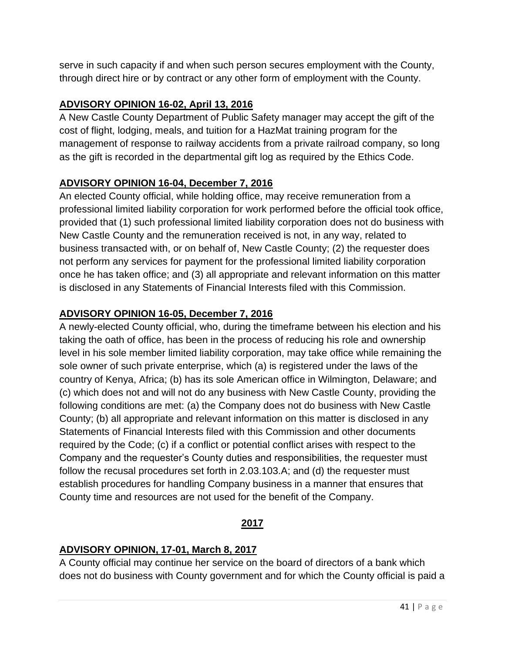serve in such capacity if and when such person secures employment with the County, through direct hire or by contract or any other form of employment with the County.

## **ADVISORY OPINION 16-02, April 13, 2016**

A New Castle County Department of Public Safety manager may accept the gift of the cost of flight, lodging, meals, and tuition for a HazMat training program for the management of response to railway accidents from a private railroad company, so long as the gift is recorded in the departmental gift log as required by the Ethics Code.

## **ADVISORY OPINION 16-04, December 7, 2016**

An elected County official, while holding office, may receive remuneration from a professional limited liability corporation for work performed before the official took office, provided that (1) such professional limited liability corporation does not do business with New Castle County and the remuneration received is not, in any way, related to business transacted with, or on behalf of, New Castle County; (2) the requester does not perform any services for payment for the professional limited liability corporation once he has taken office; and (3) all appropriate and relevant information on this matter is disclosed in any Statements of Financial Interests filed with this Commission.

## **ADVISORY OPINION 16-05, December 7, 2016**

A newly-elected County official, who, during the timeframe between his election and his taking the oath of office, has been in the process of reducing his role and ownership level in his sole member limited liability corporation, may take office while remaining the sole owner of such private enterprise, which (a) is registered under the laws of the country of Kenya, Africa; (b) has its sole American office in Wilmington, Delaware; and (c) which does not and will not do any business with New Castle County, providing the following conditions are met: (a) the Company does not do business with New Castle County; (b) all appropriate and relevant information on this matter is disclosed in any Statements of Financial Interests filed with this Commission and other documents required by the Code; (c) if a conflict or potential conflict arises with respect to the Company and the requester's County duties and responsibilities, the requester must follow the recusal procedures set forth in 2.03.103.A; and (d) the requester must establish procedures for handling Company business in a manner that ensures that County time and resources are not used for the benefit of the Company.

## **2017**

## **ADVISORY OPINION, 17-01, March 8, 2017**

A County official may continue her service on the board of directors of a bank which does not do business with County government and for which the County official is paid a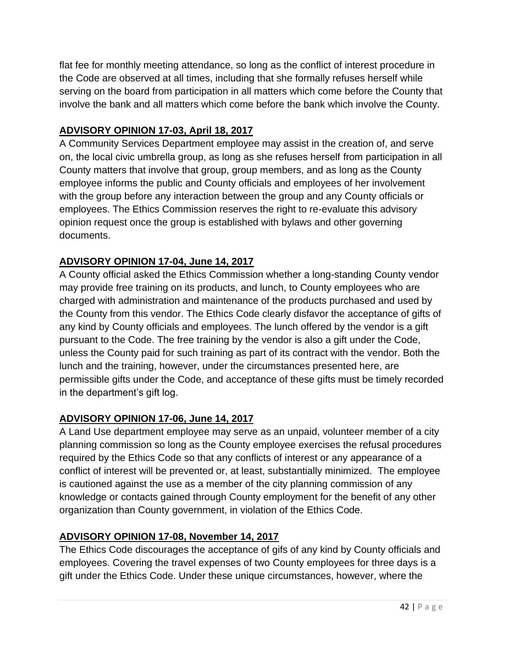flat fee for monthly meeting attendance, so long as the conflict of interest procedure in the Code are observed at all times, including that she formally refuses herself while serving on the board from participation in all matters which come before the County that involve the bank and all matters which come before the bank which involve the County.

## **ADVISORY OPINION 17-03, April 18, 2017**

A Community Services Department employee may assist in the creation of, and serve on, the local civic umbrella group, as long as she refuses herself from participation in all County matters that involve that group, group members, and as long as the County employee informs the public and County officials and employees of her involvement with the group before any interaction between the group and any County officials or employees. The Ethics Commission reserves the right to re-evaluate this advisory opinion request once the group is established with bylaws and other governing documents.

## **ADVISORY OPINION 17-04, June 14, 2017**

A County official asked the Ethics Commission whether a long-standing County vendor may provide free training on its products, and lunch, to County employees who are charged with administration and maintenance of the products purchased and used by the County from this vendor. The Ethics Code clearly disfavor the acceptance of gifts of any kind by County officials and employees. The lunch offered by the vendor is a gift pursuant to the Code. The free training by the vendor is also a gift under the Code, unless the County paid for such training as part of its contract with the vendor. Both the lunch and the training, however, under the circumstances presented here, are permissible gifts under the Code, and acceptance of these gifts must be timely recorded in the department's gift log.

## **ADVISORY OPINION 17-06, June 14, 2017**

A Land Use department employee may serve as an unpaid, volunteer member of a city planning commission so long as the County employee exercises the refusal procedures required by the Ethics Code so that any conflicts of interest or any appearance of a conflict of interest will be prevented or, at least, substantially minimized. The employee is cautioned against the use as a member of the city planning commission of any knowledge or contacts gained through County employment for the benefit of any other organization than County government, in violation of the Ethics Code.

## **ADVISORY OPINION 17-08, November 14, 2017**

The Ethics Code discourages the acceptance of gifs of any kind by County officials and employees. Covering the travel expenses of two County employees for three days is a gift under the Ethics Code. Under these unique circumstances, however, where the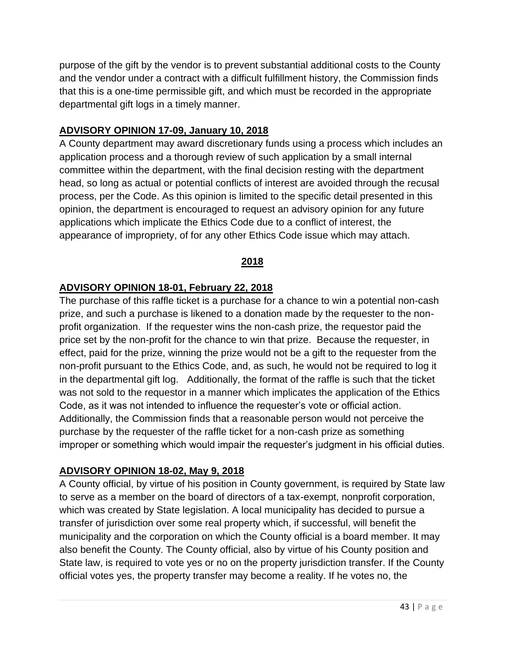purpose of the gift by the vendor is to prevent substantial additional costs to the County and the vendor under a contract with a difficult fulfillment history, the Commission finds that this is a one-time permissible gift, and which must be recorded in the appropriate departmental gift logs in a timely manner.

## **ADVISORY OPINION 17-09, January 10, 2018**

A County department may award discretionary funds using a process which includes an application process and a thorough review of such application by a small internal committee within the department, with the final decision resting with the department head, so long as actual or potential conflicts of interest are avoided through the recusal process, per the Code. As this opinion is limited to the specific detail presented in this opinion, the department is encouraged to request an advisory opinion for any future applications which implicate the Ethics Code due to a conflict of interest, the appearance of impropriety, of for any other Ethics Code issue which may attach.

### **2018**

## **ADVISORY OPINION 18-01, February 22, 2018**

The purchase of this raffle ticket is a purchase for a chance to win a potential non-cash prize, and such a purchase is likened to a donation made by the requester to the nonprofit organization. If the requester wins the non-cash prize, the requestor paid the price set by the non-profit for the chance to win that prize. Because the requester, in effect, paid for the prize, winning the prize would not be a gift to the requester from the non-profit pursuant to the Ethics Code, and, as such, he would not be required to log it in the departmental gift log. Additionally, the format of the raffle is such that the ticket was not sold to the requestor in a manner which implicates the application of the Ethics Code, as it was not intended to influence the requester's vote or official action. Additionally, the Commission finds that a reasonable person would not perceive the purchase by the requester of the raffle ticket for a non-cash prize as something improper or something which would impair the requester's judgment in his official duties.

### **ADVISORY OPINION 18-02, May 9, 2018**

A County official, by virtue of his position in County government, is required by State law to serve as a member on the board of directors of a tax-exempt, nonprofit corporation, which was created by State legislation. A local municipality has decided to pursue a transfer of jurisdiction over some real property which, if successful, will benefit the municipality and the corporation on which the County official is a board member. It may also benefit the County. The County official, also by virtue of his County position and State law, is required to vote yes or no on the property jurisdiction transfer. If the County official votes yes, the property transfer may become a reality. If he votes no, the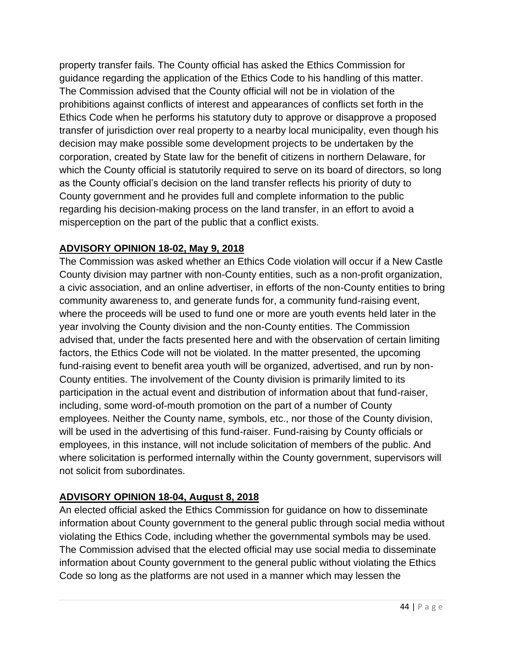property transfer fails. The County official has asked the Ethics Commission for guidance regarding the application of the Ethics Code to his handling of this matter. The Commission advised that the County official will not be in violation of the prohibitions against conflicts of interest and appearances of conflicts set forth in the Ethics Code when he performs his statutory duty to approve or disapprove a proposed transfer of jurisdiction over real property to a nearby local municipality, even though his decision may make possible some development projects to be undertaken by the corporation, created by State law for the benefit of citizens in northern Delaware, for which the County official is statutorily required to serve on its board of directors, so long as the County official's decision on the land transfer reflects his priority of duty to County government and he provides full and complete information to the public regarding his decision-making process on the land transfer, in an effort to avoid a misperception on the part of the public that a conflict exists.

## **ADVISORY OPINION 18-02, May 9, 2018**

The Commission was asked whether an Ethics Code violation will occur if a New Castle County division may partner with non-County entities, such as a non-profit organization, a civic association, and an online advertiser, in efforts of the non-County entities to bring community awareness to, and generate funds for, a community fund-raising event, where the proceeds will be used to fund one or more are youth events held later in the year involving the County division and the non-County entities. The Commission advised that, under the facts presented here and with the observation of certain limiting factors, the Ethics Code will not be violated. In the matter presented, the upcoming fund-raising event to benefit area youth will be organized, advertised, and run by non-County entities. The involvement of the County division is primarily limited to its participation in the actual event and distribution of information about that fund-raiser, including, some word-of-mouth promotion on the part of a number of County employees. Neither the County name, symbols, etc., nor those of the County division, will be used in the advertising of this fund-raiser. Fund-raising by County officials or employees, in this instance, will not include solicitation of members of the public. And where solicitation is performed internally within the County government, supervisors will not solicit from subordinates.

## **ADVISORY OPINION 18-04, August 8, 2018**

An elected official asked the Ethics Commission for guidance on how to disseminate information about County government to the general public through social media without violating the Ethics Code, including whether the governmental symbols may be used. The Commission advised that the elected official may use social media to disseminate information about County government to the general public without violating the Ethics Code so long as the platforms are not used in a manner which may lessen the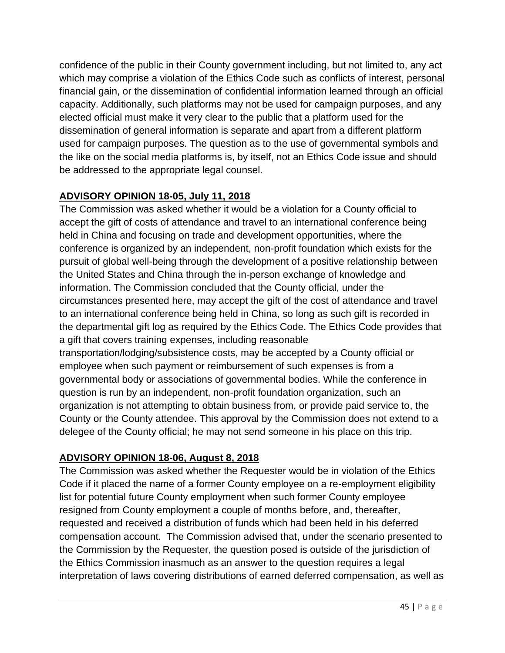confidence of the public in their County government including, but not limited to, any act which may comprise a violation of the Ethics Code such as conflicts of interest, personal financial gain, or the dissemination of confidential information learned through an official capacity. Additionally, such platforms may not be used for campaign purposes, and any elected official must make it very clear to the public that a platform used for the dissemination of general information is separate and apart from a different platform used for campaign purposes. The question as to the use of governmental symbols and the like on the social media platforms is, by itself, not an Ethics Code issue and should be addressed to the appropriate legal counsel.

## **ADVISORY OPINION 18-05, July 11, 2018**

The Commission was asked whether it would be a violation for a County official to accept the gift of costs of attendance and travel to an international conference being held in China and focusing on trade and development opportunities, where the conference is organized by an independent, non-profit foundation which exists for the pursuit of global well-being through the development of a positive relationship between the United States and China through the in-person exchange of knowledge and information. The Commission concluded that the County official, under the circumstances presented here, may accept the gift of the cost of attendance and travel to an international conference being held in China, so long as such gift is recorded in the departmental gift log as required by the Ethics Code. The Ethics Code provides that a gift that covers training expenses, including reasonable transportation/lodging/subsistence costs, may be accepted by a County official or employee when such payment or reimbursement of such expenses is from a governmental body or associations of governmental bodies. While the conference in question is run by an independent, non-profit foundation organization, such an

organization is not attempting to obtain business from, or provide paid service to, the County or the County attendee. This approval by the Commission does not extend to a delegee of the County official; he may not send someone in his place on this trip.

## **ADVISORY OPINION 18-06, August 8, 2018**

The Commission was asked whether the Requester would be in violation of the Ethics Code if it placed the name of a former County employee on a re-employment eligibility list for potential future County employment when such former County employee resigned from County employment a couple of months before, and, thereafter, requested and received a distribution of funds which had been held in his deferred compensation account. The Commission advised that, under the scenario presented to the Commission by the Requester, the question posed is outside of the jurisdiction of the Ethics Commission inasmuch as an answer to the question requires a legal interpretation of laws covering distributions of earned deferred compensation, as well as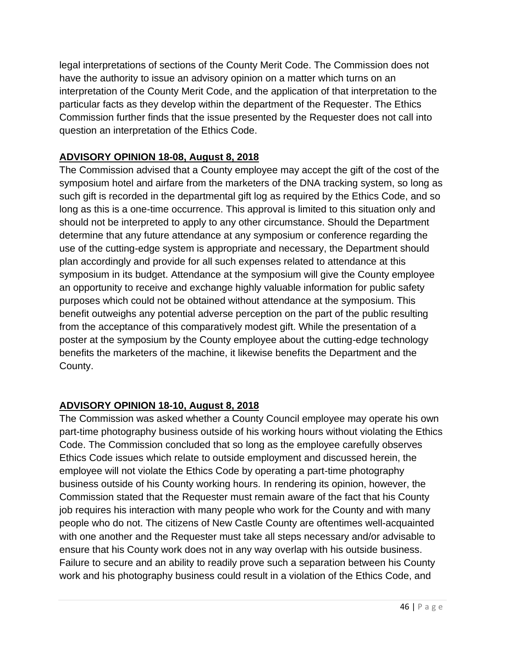legal interpretations of sections of the County Merit Code. The Commission does not have the authority to issue an advisory opinion on a matter which turns on an interpretation of the County Merit Code, and the application of that interpretation to the particular facts as they develop within the department of the Requester. The Ethics Commission further finds that the issue presented by the Requester does not call into question an interpretation of the Ethics Code.

## **ADVISORY OPINION 18-08, August 8, 2018**

The Commission advised that a County employee may accept the gift of the cost of the symposium hotel and airfare from the marketers of the DNA tracking system, so long as such gift is recorded in the departmental gift log as required by the Ethics Code, and so long as this is a one-time occurrence. This approval is limited to this situation only and should not be interpreted to apply to any other circumstance. Should the Department determine that any future attendance at any symposium or conference regarding the use of the cutting-edge system is appropriate and necessary, the Department should plan accordingly and provide for all such expenses related to attendance at this symposium in its budget. Attendance at the symposium will give the County employee an opportunity to receive and exchange highly valuable information for public safety purposes which could not be obtained without attendance at the symposium. This benefit outweighs any potential adverse perception on the part of the public resulting from the acceptance of this comparatively modest gift. While the presentation of a poster at the symposium by the County employee about the cutting-edge technology benefits the marketers of the machine, it likewise benefits the Department and the County.

## **ADVISORY OPINION 18-10, August 8, 2018**

The Commission was asked whether a County Council employee may operate his own part-time photography business outside of his working hours without violating the Ethics Code. The Commission concluded that so long as the employee carefully observes Ethics Code issues which relate to outside employment and discussed herein, the employee will not violate the Ethics Code by operating a part-time photography business outside of his County working hours. In rendering its opinion, however, the Commission stated that the Requester must remain aware of the fact that his County job requires his interaction with many people who work for the County and with many people who do not. The citizens of New Castle County are oftentimes well-acquainted with one another and the Requester must take all steps necessary and/or advisable to ensure that his County work does not in any way overlap with his outside business. Failure to secure and an ability to readily prove such a separation between his County work and his photography business could result in a violation of the Ethics Code, and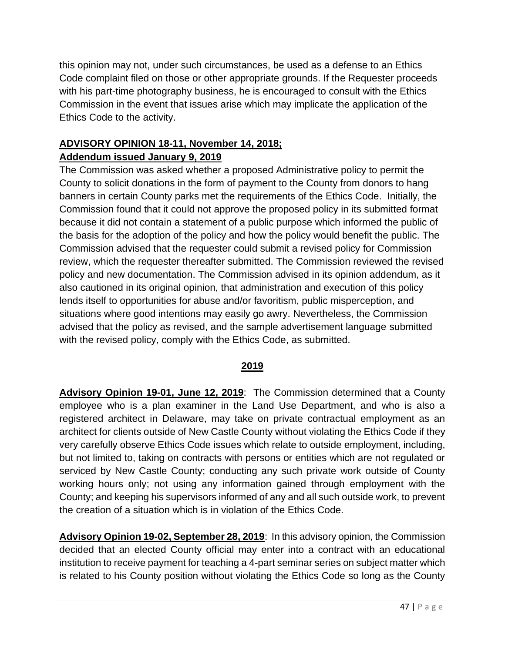this opinion may not, under such circumstances, be used as a defense to an Ethics Code complaint filed on those or other appropriate grounds. If the Requester proceeds with his part-time photography business, he is encouraged to consult with the Ethics Commission in the event that issues arise which may implicate the application of the Ethics Code to the activity.

## **ADVISORY OPINION 18-11, November 14, 2018; Addendum issued January 9, 2019**

The Commission was asked whether a proposed Administrative policy to permit the County to solicit donations in the form of payment to the County from donors to hang banners in certain County parks met the requirements of the Ethics Code. Initially, the Commission found that it could not approve the proposed policy in its submitted format because it did not contain a statement of a public purpose which informed the public of the basis for the adoption of the policy and how the policy would benefit the public. The Commission advised that the requester could submit a revised policy for Commission review, which the requester thereafter submitted. The Commission reviewed the revised policy and new documentation. The Commission advised in its opinion addendum, as it also cautioned in its original opinion, that administration and execution of this policy lends itself to opportunities for abuse and/or favoritism, public misperception, and situations where good intentions may easily go awry. Nevertheless, the Commission advised that the policy as revised, and the sample advertisement language submitted with the revised policy, comply with the Ethics Code, as submitted.

## **2019**

**Advisory Opinion 19-01, June 12, 2019**: The Commission determined that a County employee who is a plan examiner in the Land Use Department, and who is also a registered architect in Delaware, may take on private contractual employment as an architect for clients outside of New Castle County without violating the Ethics Code if they very carefully observe Ethics Code issues which relate to outside employment, including, but not limited to, taking on contracts with persons or entities which are not regulated or serviced by New Castle County; conducting any such private work outside of County working hours only; not using any information gained through employment with the County; and keeping his supervisors informed of any and all such outside work, to prevent the creation of a situation which is in violation of the Ethics Code.

**Advisory Opinion 19-02, September 28, 2019**: In this advisory opinion, the Commission decided that an elected County official may enter into a contract with an educational institution to receive payment for teaching a 4-part seminar series on subject matter which is related to his County position without violating the Ethics Code so long as the County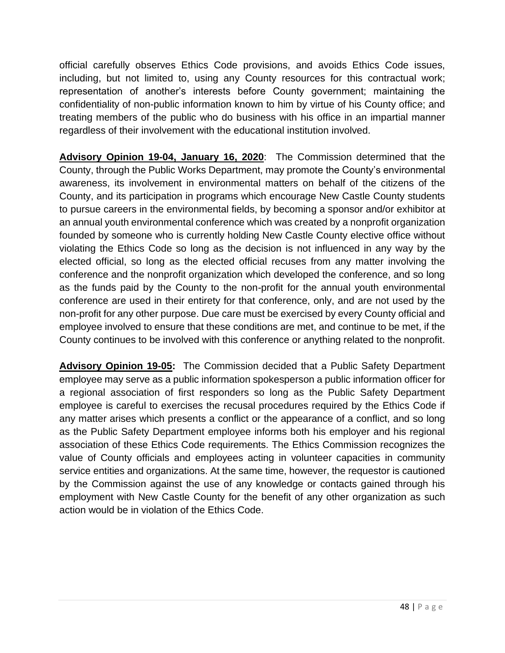official carefully observes Ethics Code provisions, and avoids Ethics Code issues, including, but not limited to, using any County resources for this contractual work; representation of another's interests before County government; maintaining the confidentiality of non-public information known to him by virtue of his County office; and treating members of the public who do business with his office in an impartial manner regardless of their involvement with the educational institution involved.

**Advisory Opinion 19-04, January 16, 2020**: The Commission determined that the County, through the Public Works Department, may promote the County's environmental awareness, its involvement in environmental matters on behalf of the citizens of the County, and its participation in programs which encourage New Castle County students to pursue careers in the environmental fields, by becoming a sponsor and/or exhibitor at an annual youth environmental conference which was created by a nonprofit organization founded by someone who is currently holding New Castle County elective office without violating the Ethics Code so long as the decision is not influenced in any way by the elected official, so long as the elected official recuses from any matter involving the conference and the nonprofit organization which developed the conference, and so long as the funds paid by the County to the non-profit for the annual youth environmental conference are used in their entirety for that conference, only, and are not used by the non-profit for any other purpose. Due care must be exercised by every County official and employee involved to ensure that these conditions are met, and continue to be met, if the County continues to be involved with this conference or anything related to the nonprofit.

**Advisory Opinion 19-05:** The Commission decided that a Public Safety Department employee may serve as a public information spokesperson a public information officer for a regional association of first responders so long as the Public Safety Department employee is careful to exercises the recusal procedures required by the Ethics Code if any matter arises which presents a conflict or the appearance of a conflict, and so long as the Public Safety Department employee informs both his employer and his regional association of these Ethics Code requirements. The Ethics Commission recognizes the value of County officials and employees acting in volunteer capacities in community service entities and organizations. At the same time, however, the requestor is cautioned by the Commission against the use of any knowledge or contacts gained through his employment with New Castle County for the benefit of any other organization as such action would be in violation of the Ethics Code.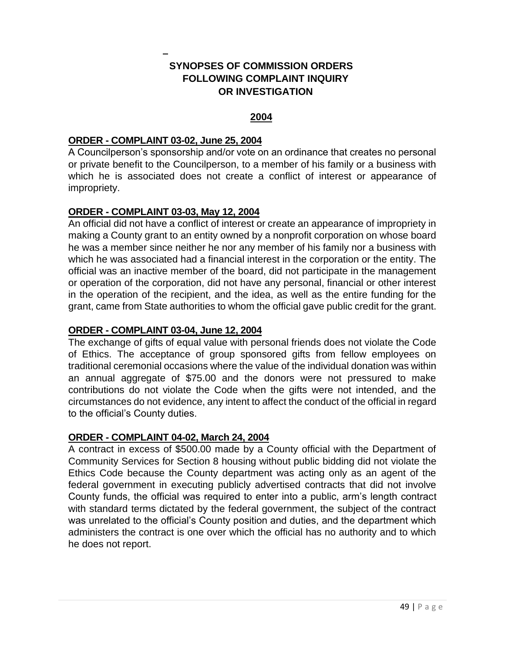## **SYNOPSES OF COMMISSION ORDERS FOLLOWING COMPLAINT INQUIRY OR INVESTIGATION**

#### **2004**

#### **ORDER - COMPLAINT 03-02, June 25, 2004**

A Councilperson's sponsorship and/or vote on an ordinance that creates no personal or private benefit to the Councilperson, to a member of his family or a business with which he is associated does not create a conflict of interest or appearance of impropriety.

#### **ORDER - COMPLAINT 03-03, May 12, 2004**

An official did not have a conflict of interest or create an appearance of impropriety in making a County grant to an entity owned by a nonprofit corporation on whose board he was a member since neither he nor any member of his family nor a business with which he was associated had a financial interest in the corporation or the entity. The official was an inactive member of the board, did not participate in the management or operation of the corporation, did not have any personal, financial or other interest in the operation of the recipient, and the idea, as well as the entire funding for the grant, came from State authorities to whom the official gave public credit for the grant.

#### **ORDER - COMPLAINT 03-04, June 12, 2004**

The exchange of gifts of equal value with personal friends does not violate the Code of Ethics. The acceptance of group sponsored gifts from fellow employees on traditional ceremonial occasions where the value of the individual donation was within an annual aggregate of \$75.00 and the donors were not pressured to make contributions do not violate the Code when the gifts were not intended, and the circumstances do not evidence, any intent to affect the conduct of the official in regard to the official's County duties.

### **ORDER - COMPLAINT 04-02, March 24, 2004**

A contract in excess of \$500.00 made by a County official with the Department of Community Services for Section 8 housing without public bidding did not violate the Ethics Code because the County department was acting only as an agent of the federal government in executing publicly advertised contracts that did not involve County funds, the official was required to enter into a public, arm's length contract with standard terms dictated by the federal government, the subject of the contract was unrelated to the official's County position and duties, and the department which administers the contract is one over which the official has no authority and to which he does not report.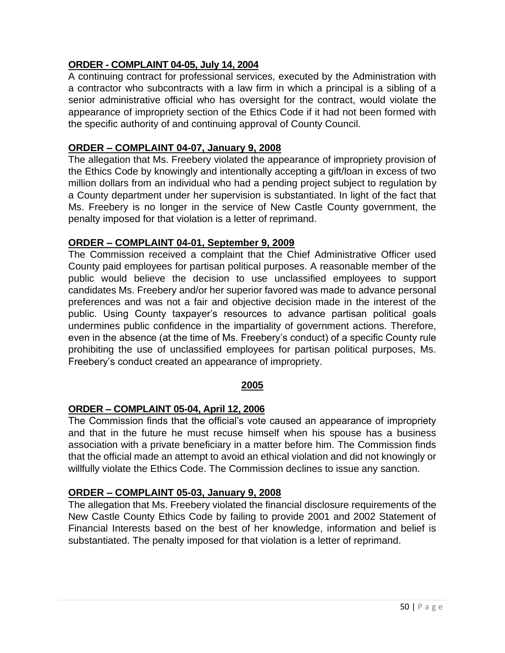### **ORDER - COMPLAINT 04-05, July 14, 2004**

A continuing contract for professional services, executed by the Administration with a contractor who subcontracts with a law firm in which a principal is a sibling of a senior administrative official who has oversight for the contract, would violate the appearance of impropriety section of the Ethics Code if it had not been formed with the specific authority of and continuing approval of County Council.

### **ORDER – COMPLAINT 04-07, January 9, 2008**

The allegation that Ms. Freebery violated the appearance of impropriety provision of the Ethics Code by knowingly and intentionally accepting a gift/loan in excess of two million dollars from an individual who had a pending project subject to regulation by a County department under her supervision is substantiated. In light of the fact that Ms. Freebery is no longer in the service of New Castle County government, the penalty imposed for that violation is a letter of reprimand.

## **ORDER – COMPLAINT 04-01, September 9, 2009**

The Commission received a complaint that the Chief Administrative Officer used County paid employees for partisan political purposes. A reasonable member of the public would believe the decision to use unclassified employees to support candidates Ms. Freebery and/or her superior favored was made to advance personal preferences and was not a fair and objective decision made in the interest of the public. Using County taxpayer's resources to advance partisan political goals undermines public confidence in the impartiality of government actions. Therefore, even in the absence (at the time of Ms. Freebery's conduct) of a specific County rule prohibiting the use of unclassified employees for partisan political purposes, Ms. Freebery's conduct created an appearance of impropriety.

## **2005**

## **ORDER – COMPLAINT 05-04, April 12, 2006**

The Commission finds that the official's vote caused an appearance of impropriety and that in the future he must recuse himself when his spouse has a business association with a private beneficiary in a matter before him. The Commission finds that the official made an attempt to avoid an ethical violation and did not knowingly or willfully violate the Ethics Code. The Commission declines to issue any sanction.

## **ORDER – COMPLAINT 05-03, January 9, 2008**

The allegation that Ms. Freebery violated the financial disclosure requirements of the New Castle County Ethics Code by failing to provide 2001 and 2002 Statement of Financial Interests based on the best of her knowledge, information and belief is substantiated. The penalty imposed for that violation is a letter of reprimand.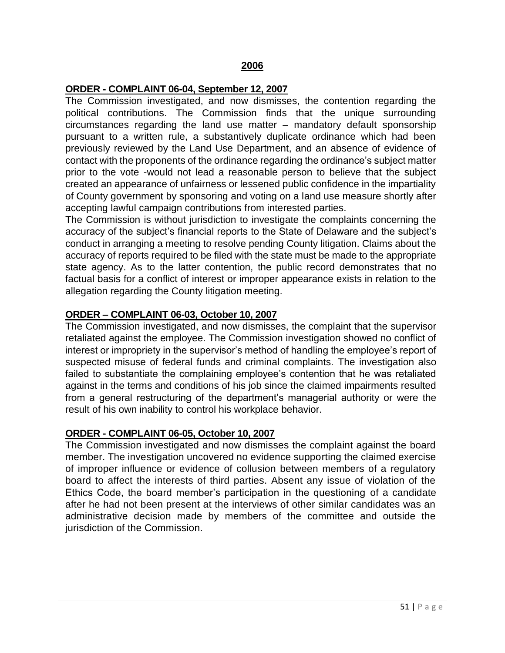#### **ORDER - COMPLAINT 06-04, September 12, 2007**

The Commission investigated, and now dismisses, the contention regarding the political contributions. The Commission finds that the unique surrounding circumstances regarding the land use matter – mandatory default sponsorship pursuant to a written rule, a substantively duplicate ordinance which had been previously reviewed by the Land Use Department, and an absence of evidence of contact with the proponents of the ordinance regarding the ordinance's subject matter prior to the vote -would not lead a reasonable person to believe that the subject created an appearance of unfairness or lessened public confidence in the impartiality of County government by sponsoring and voting on a land use measure shortly after accepting lawful campaign contributions from interested parties.

The Commission is without jurisdiction to investigate the complaints concerning the accuracy of the subject's financial reports to the State of Delaware and the subject's conduct in arranging a meeting to resolve pending County litigation. Claims about the accuracy of reports required to be filed with the state must be made to the appropriate state agency. As to the latter contention, the public record demonstrates that no factual basis for a conflict of interest or improper appearance exists in relation to the allegation regarding the County litigation meeting.

#### **ORDER – COMPLAINT 06-03, October 10, 2007**

The Commission investigated, and now dismisses, the complaint that the supervisor retaliated against the employee. The Commission investigation showed no conflict of interest or impropriety in the supervisor's method of handling the employee's report of suspected misuse of federal funds and criminal complaints. The investigation also failed to substantiate the complaining employee's contention that he was retaliated against in the terms and conditions of his job since the claimed impairments resulted from a general restructuring of the department's managerial authority or were the result of his own inability to control his workplace behavior.

#### **ORDER - COMPLAINT 06-05, October 10, 2007**

The Commission investigated and now dismisses the complaint against the board member. The investigation uncovered no evidence supporting the claimed exercise of improper influence or evidence of collusion between members of a regulatory board to affect the interests of third parties. Absent any issue of violation of the Ethics Code, the board member's participation in the questioning of a candidate after he had not been present at the interviews of other similar candidates was an administrative decision made by members of the committee and outside the jurisdiction of the Commission.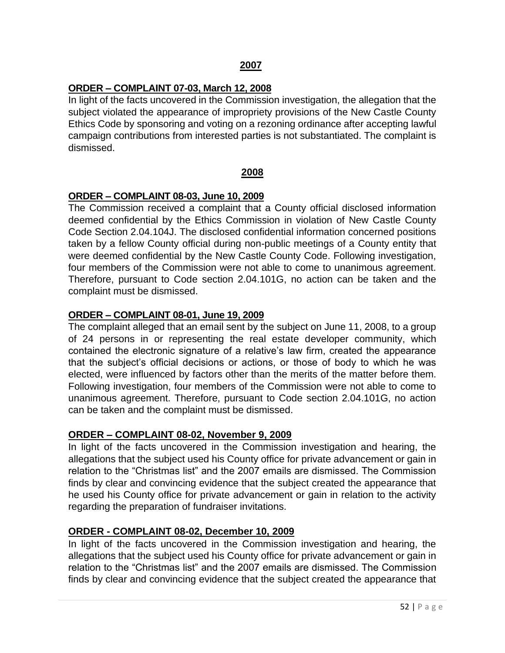#### **ORDER – COMPLAINT 07-03, March 12, 2008**

In light of the facts uncovered in the Commission investigation, the allegation that the subject violated the appearance of impropriety provisions of the New Castle County Ethics Code by sponsoring and voting on a rezoning ordinance after accepting lawful campaign contributions from interested parties is not substantiated. The complaint is dismissed.

#### **2008**

#### **ORDER – COMPLAINT 08-03, June 10, 2009**

The Commission received a complaint that a County official disclosed information deemed confidential by the Ethics Commission in violation of New Castle County Code Section 2.04.104J. The disclosed confidential information concerned positions taken by a fellow County official during non-public meetings of a County entity that were deemed confidential by the New Castle County Code. Following investigation, four members of the Commission were not able to come to unanimous agreement. Therefore, pursuant to Code section 2.04.101G, no action can be taken and the complaint must be dismissed.

#### **ORDER – COMPLAINT 08-01, June 19, 2009**

The complaint alleged that an email sent by the subject on June 11, 2008, to a group of 24 persons in or representing the real estate developer community, which contained the electronic signature of a relative's law firm, created the appearance that the subject's official decisions or actions, or those of body to which he was elected, were influenced by factors other than the merits of the matter before them. Following investigation, four members of the Commission were not able to come to unanimous agreement. Therefore, pursuant to Code section 2.04.101G, no action can be taken and the complaint must be dismissed.

### **ORDER – COMPLAINT 08-02, November 9, 2009**

In light of the facts uncovered in the Commission investigation and hearing, the allegations that the subject used his County office for private advancement or gain in relation to the "Christmas list" and the 2007 emails are dismissed. The Commission finds by clear and convincing evidence that the subject created the appearance that he used his County office for private advancement or gain in relation to the activity regarding the preparation of fundraiser invitations.

### **ORDER - COMPLAINT 08-02, December 10, 2009**

In light of the facts uncovered in the Commission investigation and hearing, the allegations that the subject used his County office for private advancement or gain in relation to the "Christmas list" and the 2007 emails are dismissed. The Commission finds by clear and convincing evidence that the subject created the appearance that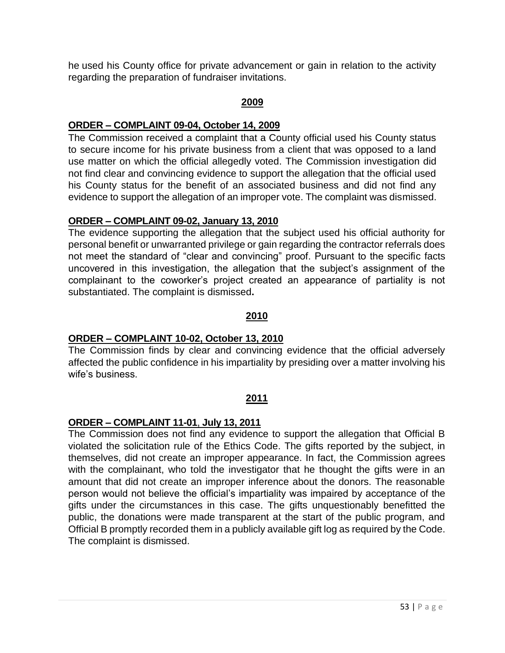he used his County office for private advancement or gain in relation to the activity regarding the preparation of fundraiser invitations.

#### **2009**

### **ORDER – COMPLAINT 09-04, October 14, 2009**

The Commission received a complaint that a County official used his County status to secure income for his private business from a client that was opposed to a land use matter on which the official allegedly voted. The Commission investigation did not find clear and convincing evidence to support the allegation that the official used his County status for the benefit of an associated business and did not find any evidence to support the allegation of an improper vote. The complaint was dismissed.

### **ORDER – COMPLAINT 09-02, January 13, 2010**

The evidence supporting the allegation that the subject used his official authority for personal benefit or unwarranted privilege or gain regarding the contractor referrals does not meet the standard of "clear and convincing" proof. Pursuant to the specific facts uncovered in this investigation, the allegation that the subject's assignment of the complainant to the coworker's project created an appearance of partiality is not substantiated. The complaint is dismissed**.**

#### **2010**

### **ORDER – COMPLAINT 10-02, October 13, 2010**

The Commission finds by clear and convincing evidence that the official adversely affected the public confidence in his impartiality by presiding over a matter involving his wife's business.

### **2011**

### **ORDER – COMPLAINT 11-01**, **July 13, 2011**

The Commission does not find any evidence to support the allegation that Official B violated the solicitation rule of the Ethics Code. The gifts reported by the subject, in themselves, did not create an improper appearance. In fact, the Commission agrees with the complainant, who told the investigator that he thought the gifts were in an amount that did not create an improper inference about the donors. The reasonable person would not believe the official's impartiality was impaired by acceptance of the gifts under the circumstances in this case. The gifts unquestionably benefitted the public, the donations were made transparent at the start of the public program, and Official B promptly recorded them in a publicly available gift log as required by the Code. The complaint is dismissed.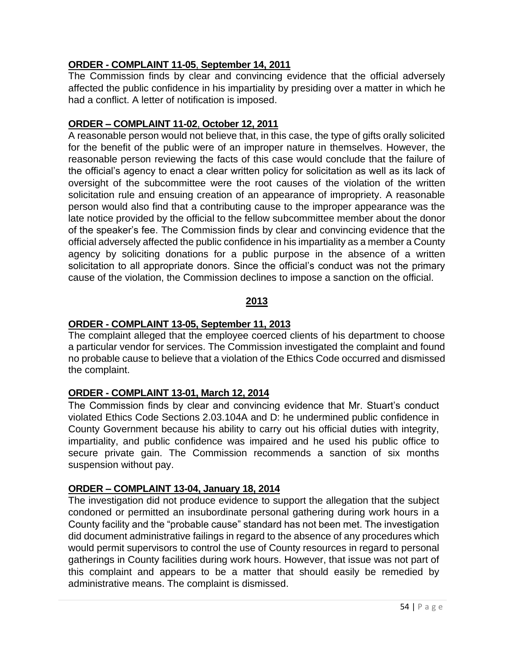## **ORDER - COMPLAINT 11-05**, **September 14, 2011**

The Commission finds by clear and convincing evidence that the official adversely affected the public confidence in his impartiality by presiding over a matter in which he had a conflict. A letter of notification is imposed.

## **ORDER – COMPLAINT 11-02**, **October 12, 2011**

A reasonable person would not believe that, in this case, the type of gifts orally solicited for the benefit of the public were of an improper nature in themselves. However, the reasonable person reviewing the facts of this case would conclude that the failure of the official's agency to enact a clear written policy for solicitation as well as its lack of oversight of the subcommittee were the root causes of the violation of the written solicitation rule and ensuing creation of an appearance of impropriety. A reasonable person would also find that a contributing cause to the improper appearance was the late notice provided by the official to the fellow subcommittee member about the donor of the speaker's fee. The Commission finds by clear and convincing evidence that the official adversely affected the public confidence in his impartiality as a member a County agency by soliciting donations for a public purpose in the absence of a written solicitation to all appropriate donors. Since the official's conduct was not the primary cause of the violation, the Commission declines to impose a sanction on the official.

## **2013**

#### **ORDER - COMPLAINT 13-05, September 11, 2013**

The complaint alleged that the employee coerced clients of his department to choose a particular vendor for services. The Commission investigated the complaint and found no probable cause to believe that a violation of the Ethics Code occurred and dismissed the complaint.

### **ORDER - COMPLAINT 13-01, March 12, 2014**

The Commission finds by clear and convincing evidence that Mr. Stuart's conduct violated Ethics Code Sections 2.03.104A and D: he undermined public confidence in County Government because his ability to carry out his official duties with integrity, impartiality, and public confidence was impaired and he used his public office to secure private gain. The Commission recommends a sanction of six months suspension without pay.

### **ORDER – COMPLAINT 13-04, January 18, 2014**

The investigation did not produce evidence to support the allegation that the subject condoned or permitted an insubordinate personal gathering during work hours in a County facility and the "probable cause" standard has not been met. The investigation did document administrative failings in regard to the absence of any procedures which would permit supervisors to control the use of County resources in regard to personal gatherings in County facilities during work hours. However, that issue was not part of this complaint and appears to be a matter that should easily be remedied by administrative means. The complaint is dismissed.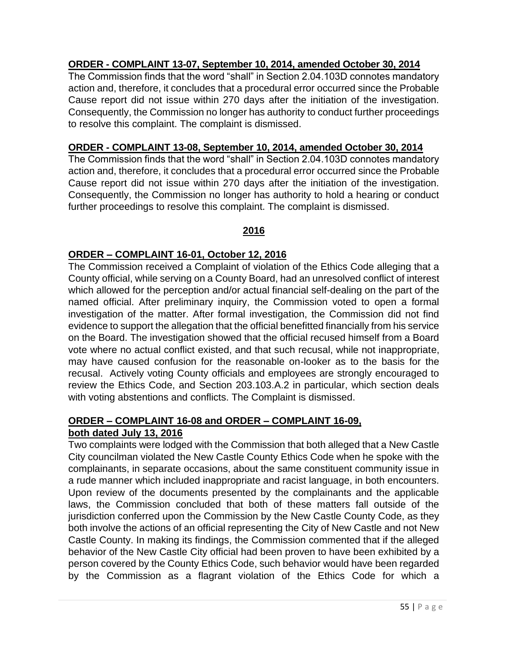### **ORDER - COMPLAINT 13-07, September 10, 2014, amended October 30, 2014**

The Commission finds that the word "shall" in Section 2.04.103D connotes mandatory action and, therefore, it concludes that a procedural error occurred since the Probable Cause report did not issue within 270 days after the initiation of the investigation. Consequently, the Commission no longer has authority to conduct further proceedings to resolve this complaint. The complaint is dismissed.

### **ORDER - COMPLAINT 13-08, September 10, 2014, amended October 30, 2014**

The Commission finds that the word "shall" in Section 2.04.103D connotes mandatory action and, therefore, it concludes that a procedural error occurred since the Probable Cause report did not issue within 270 days after the initiation of the investigation. Consequently, the Commission no longer has authority to hold a hearing or conduct further proceedings to resolve this complaint. The complaint is dismissed.

## **2016**

## **ORDER – COMPLAINT 16-01, October 12, 2016**

The Commission received a Complaint of violation of the Ethics Code alleging that a County official, while serving on a County Board, had an unresolved conflict of interest which allowed for the perception and/or actual financial self-dealing on the part of the named official. After preliminary inquiry, the Commission voted to open a formal investigation of the matter. After formal investigation, the Commission did not find evidence to support the allegation that the official benefitted financially from his service on the Board. The investigation showed that the official recused himself from a Board vote where no actual conflict existed, and that such recusal, while not inappropriate, may have caused confusion for the reasonable on-looker as to the basis for the recusal. Actively voting County officials and employees are strongly encouraged to review the Ethics Code, and Section 203.103.A.2 in particular, which section deals with voting abstentions and conflicts. The Complaint is dismissed.

# **ORDER – COMPLAINT 16-08 and ORDER – COMPLAINT 16-09,**

#### **both dated July 13, 2016**

Two complaints were lodged with the Commission that both alleged that a New Castle City councilman violated the New Castle County Ethics Code when he spoke with the complainants, in separate occasions, about the same constituent community issue in a rude manner which included inappropriate and racist language, in both encounters. Upon review of the documents presented by the complainants and the applicable laws, the Commission concluded that both of these matters fall outside of the jurisdiction conferred upon the Commission by the New Castle County Code, as they both involve the actions of an official representing the City of New Castle and not New Castle County. In making its findings, the Commission commented that if the alleged behavior of the New Castle City official had been proven to have been exhibited by a person covered by the County Ethics Code, such behavior would have been regarded by the Commission as a flagrant violation of the Ethics Code for which a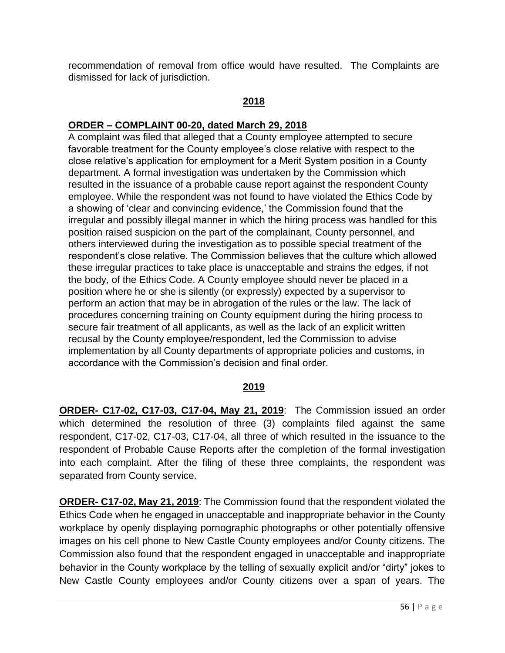recommendation of removal from office would have resulted. The Complaints are dismissed for lack of jurisdiction.

### **2018**

### **ORDER – COMPLAINT 00-20, dated March 29, 2018**

A complaint was filed that alleged that a County employee attempted to secure favorable treatment for the County employee's close relative with respect to the close relative's application for employment for a Merit System position in a County department. A formal investigation was undertaken by the Commission which resulted in the issuance of a probable cause report against the respondent County employee. While the respondent was not found to have violated the Ethics Code by a showing of 'clear and convincing evidence,' the Commission found that the irregular and possibly illegal manner in which the hiring process was handled for this position raised suspicion on the part of the complainant, County personnel, and others interviewed during the investigation as to possible special treatment of the respondent's close relative. The Commission believes that the culture which allowed these irregular practices to take place is unacceptable and strains the edges, if not the body, of the Ethics Code. A County employee should never be placed in a position where he or she is silently (or expressly) expected by a supervisor to perform an action that may be in abrogation of the rules or the law. The lack of procedures concerning training on County equipment during the hiring process to secure fair treatment of all applicants, as well as the lack of an explicit written recusal by the County employee/respondent, led the Commission to advise implementation by all County departments of appropriate policies and customs, in accordance with the Commission's decision and final order.

### **2019**

**ORDER- C17-02, C17-03, C17-04, May 21, 2019**: The Commission issued an order which determined the resolution of three (3) complaints filed against the same respondent, C17-02, C17-03, C17-04, all three of which resulted in the issuance to the respondent of Probable Cause Reports after the completion of the formal investigation into each complaint. After the filing of these three complaints, the respondent was separated from County service.

**ORDER- C17-02, May 21, 2019**: The Commission found that the respondent violated the Ethics Code when he engaged in unacceptable and inappropriate behavior in the County workplace by openly displaying pornographic photographs or other potentially offensive images on his cell phone to New Castle County employees and/or County citizens. The Commission also found that the respondent engaged in unacceptable and inappropriate behavior in the County workplace by the telling of sexually explicit and/or "dirty" jokes to New Castle County employees and/or County citizens over a span of years. The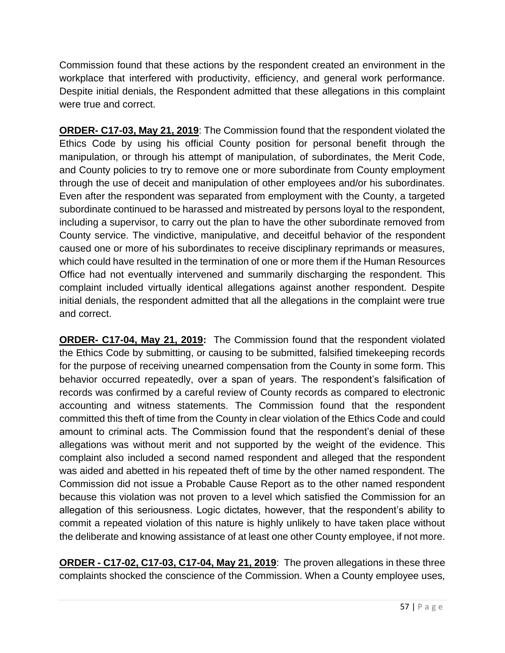Commission found that these actions by the respondent created an environment in the workplace that interfered with productivity, efficiency, and general work performance. Despite initial denials, the Respondent admitted that these allegations in this complaint were true and correct.

**ORDER- C17-03, May 21, 2019**: The Commission found that the respondent violated the Ethics Code by using his official County position for personal benefit through the manipulation, or through his attempt of manipulation, of subordinates, the Merit Code, and County policies to try to remove one or more subordinate from County employment through the use of deceit and manipulation of other employees and/or his subordinates. Even after the respondent was separated from employment with the County, a targeted subordinate continued to be harassed and mistreated by persons loyal to the respondent, including a supervisor, to carry out the plan to have the other subordinate removed from County service. The vindictive, manipulative, and deceitful behavior of the respondent caused one or more of his subordinates to receive disciplinary reprimands or measures, which could have resulted in the termination of one or more them if the Human Resources Office had not eventually intervened and summarily discharging the respondent. This complaint included virtually identical allegations against another respondent. Despite initial denials, the respondent admitted that all the allegations in the complaint were true and correct.

**ORDER- C17-04, May 21, 2019:** The Commission found that the respondent violated the Ethics Code by submitting, or causing to be submitted, falsified timekeeping records for the purpose of receiving unearned compensation from the County in some form. This behavior occurred repeatedly, over a span of years. The respondent's falsification of records was confirmed by a careful review of County records as compared to electronic accounting and witness statements. The Commission found that the respondent committed this theft of time from the County in clear violation of the Ethics Code and could amount to criminal acts. The Commission found that the respondent's denial of these allegations was without merit and not supported by the weight of the evidence. This complaint also included a second named respondent and alleged that the respondent was aided and abetted in his repeated theft of time by the other named respondent. The Commission did not issue a Probable Cause Report as to the other named respondent because this violation was not proven to a level which satisfied the Commission for an allegation of this seriousness. Logic dictates, however, that the respondent's ability to commit a repeated violation of this nature is highly unlikely to have taken place without the deliberate and knowing assistance of at least one other County employee, if not more.

**ORDER - C17-02, C17-03, C17-04, May 21, 2019**: The proven allegations in these three complaints shocked the conscience of the Commission. When a County employee uses,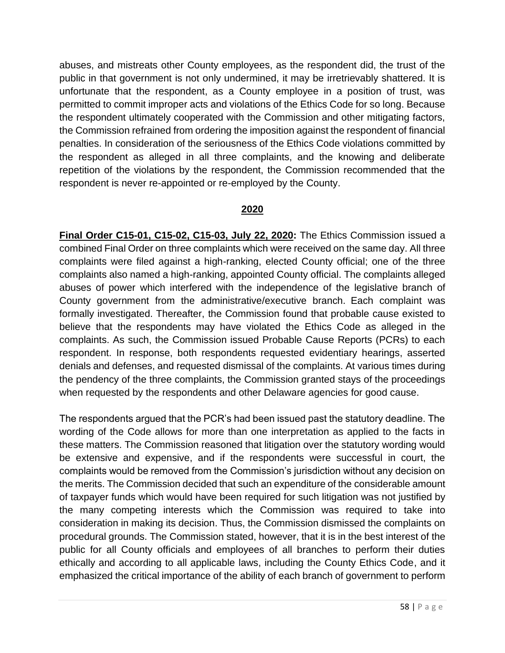abuses, and mistreats other County employees, as the respondent did, the trust of the public in that government is not only undermined, it may be irretrievably shattered. It is unfortunate that the respondent, as a County employee in a position of trust, was permitted to commit improper acts and violations of the Ethics Code for so long. Because the respondent ultimately cooperated with the Commission and other mitigating factors, the Commission refrained from ordering the imposition against the respondent of financial penalties. In consideration of the seriousness of the Ethics Code violations committed by the respondent as alleged in all three complaints, and the knowing and deliberate repetition of the violations by the respondent, the Commission recommended that the respondent is never re-appointed or re-employed by the County.

### **2020**

**Final Order C15-01, C15-02, C15-03, July 22, 2020:** The Ethics Commission issued a combined Final Order on three complaints which were received on the same day. All three complaints were filed against a high-ranking, elected County official; one of the three complaints also named a high-ranking, appointed County official. The complaints alleged abuses of power which interfered with the independence of the legislative branch of County government from the administrative/executive branch. Each complaint was formally investigated. Thereafter, the Commission found that probable cause existed to believe that the respondents may have violated the Ethics Code as alleged in the complaints. As such, the Commission issued Probable Cause Reports (PCRs) to each respondent. In response, both respondents requested evidentiary hearings, asserted denials and defenses, and requested dismissal of the complaints. At various times during the pendency of the three complaints, the Commission granted stays of the proceedings when requested by the respondents and other Delaware agencies for good cause.

The respondents argued that the PCR's had been issued past the statutory deadline. The wording of the Code allows for more than one interpretation as applied to the facts in these matters. The Commission reasoned that litigation over the statutory wording would be extensive and expensive, and if the respondents were successful in court, the complaints would be removed from the Commission's jurisdiction without any decision on the merits. The Commission decided that such an expenditure of the considerable amount of taxpayer funds which would have been required for such litigation was not justified by the many competing interests which the Commission was required to take into consideration in making its decision. Thus, the Commission dismissed the complaints on procedural grounds. The Commission stated, however, that it is in the best interest of the public for all County officials and employees of all branches to perform their duties ethically and according to all applicable laws, including the County Ethics Code, and it emphasized the critical importance of the ability of each branch of government to perform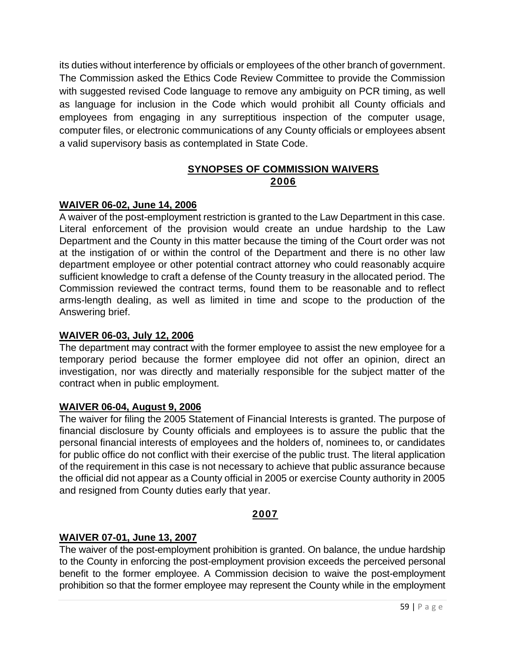its duties without interference by officials or employees of the other branch of government. The Commission asked the Ethics Code Review Committee to provide the Commission with suggested revised Code language to remove any ambiguity on PCR timing, as well as language for inclusion in the Code which would prohibit all County officials and employees from engaging in any surreptitious inspection of the computer usage, computer files, or electronic communications of any County officials or employees absent a valid supervisory basis as contemplated in State Code.

### **SYNOPSES OF COMMISSION WAIVERS 2006**

### **WAIVER 06-02, June 14, 2006**

A waiver of the post-employment restriction is granted to the Law Department in this case. Literal enforcement of the provision would create an undue hardship to the Law Department and the County in this matter because the timing of the Court order was not at the instigation of or within the control of the Department and there is no other law department employee or other potential contract attorney who could reasonably acquire sufficient knowledge to craft a defense of the County treasury in the allocated period. The Commission reviewed the contract terms, found them to be reasonable and to reflect arms-length dealing, as well as limited in time and scope to the production of the Answering brief.

#### **WAIVER 06-03, July 12, 2006**

The department may contract with the former employee to assist the new employee for a temporary period because the former employee did not offer an opinion, direct an investigation, nor was directly and materially responsible for the subject matter of the contract when in public employment.

#### **WAIVER 06-04, August 9, 2006**

The waiver for filing the 2005 Statement of Financial Interests is granted. The purpose of financial disclosure by County officials and employees is to assure the public that the personal financial interests of employees and the holders of, nominees to, or candidates for public office do not conflict with their exercise of the public trust. The literal application of the requirement in this case is not necessary to achieve that public assurance because the official did not appear as a County official in 2005 or exercise County authority in 2005 and resigned from County duties early that year.

#### **2007**

### **WAIVER 07-01, June 13, 2007**

The waiver of the post-employment prohibition is granted. On balance, the undue hardship to the County in enforcing the post-employment provision exceeds the perceived personal benefit to the former employee. A Commission decision to waive the post-employment prohibition so that the former employee may represent the County while in the employment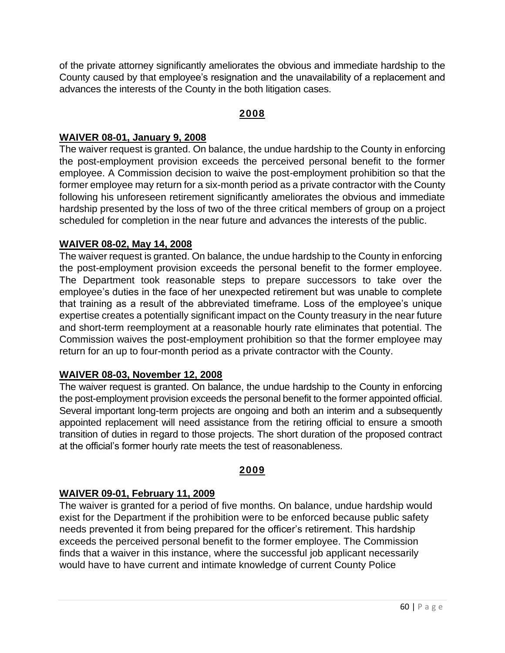of the private attorney significantly ameliorates the obvious and immediate hardship to the County caused by that employee's resignation and the unavailability of a replacement and advances the interests of the County in the both litigation cases.

### **2008**

### **WAIVER 08-01, January 9, 2008**

The waiver request is granted. On balance, the undue hardship to the County in enforcing the post-employment provision exceeds the perceived personal benefit to the former employee. A Commission decision to waive the post-employment prohibition so that the former employee may return for a six-month period as a private contractor with the County following his unforeseen retirement significantly ameliorates the obvious and immediate hardship presented by the loss of two of the three critical members of group on a project scheduled for completion in the near future and advances the interests of the public.

## **WAIVER 08-02, May 14, 2008**

The waiver request is granted. On balance, the undue hardship to the County in enforcing the post-employment provision exceeds the personal benefit to the former employee. The Department took reasonable steps to prepare successors to take over the employee's duties in the face of her unexpected retirement but was unable to complete that training as a result of the abbreviated timeframe. Loss of the employee's unique expertise creates a potentially significant impact on the County treasury in the near future and short-term reemployment at a reasonable hourly rate eliminates that potential. The Commission waives the post-employment prohibition so that the former employee may return for an up to four-month period as a private contractor with the County.

### **WAIVER 08-03, November 12, 2008**

The waiver request is granted. On balance, the undue hardship to the County in enforcing the post-employment provision exceeds the personal benefit to the former appointed official. Several important long-term projects are ongoing and both an interim and a subsequently appointed replacement will need assistance from the retiring official to ensure a smooth transition of duties in regard to those projects. The short duration of the proposed contract at the official's former hourly rate meets the test of reasonableness.

## **2009**

## **WAIVER 09-01, February 11, 2009**

The waiver is granted for a period of five months. On balance, undue hardship would exist for the Department if the prohibition were to be enforced because public safety needs prevented it from being prepared for the officer's retirement. This hardship exceeds the perceived personal benefit to the former employee. The Commission finds that a waiver in this instance, where the successful job applicant necessarily would have to have current and intimate knowledge of current County Police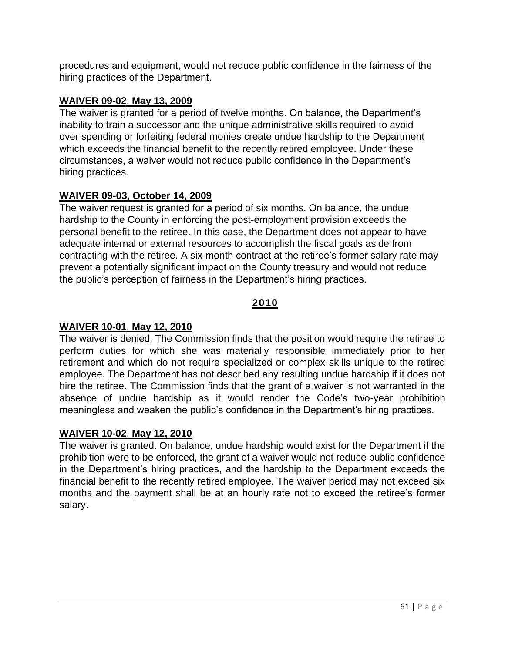procedures and equipment, would not reduce public confidence in the fairness of the hiring practices of the Department.

### **WAIVER 09-02**, **May 13, 2009**

The waiver is granted for a period of twelve months. On balance, the Department's inability to train a successor and the unique administrative skills required to avoid over spending or forfeiting federal monies create undue hardship to the Department which exceeds the financial benefit to the recently retired employee. Under these circumstances, a waiver would not reduce public confidence in the Department's hiring practices.

## **WAIVER 09-03, October 14, 2009**

The waiver request is granted for a period of six months. On balance, the undue hardship to the County in enforcing the post-employment provision exceeds the personal benefit to the retiree. In this case, the Department does not appear to have adequate internal or external resources to accomplish the fiscal goals aside from contracting with the retiree. A six-month contract at the retiree's former salary rate may prevent a potentially significant impact on the County treasury and would not reduce the public's perception of fairness in the Department's hiring practices.

## **2010**

## **WAIVER 10-01**, **May 12, 2010**

The waiver is denied. The Commission finds that the position would require the retiree to perform duties for which she was materially responsible immediately prior to her retirement and which do not require specialized or complex skills unique to the retired employee. The Department has not described any resulting undue hardship if it does not hire the retiree. The Commission finds that the grant of a waiver is not warranted in the absence of undue hardship as it would render the Code's two-year prohibition meaningless and weaken the public's confidence in the Department's hiring practices.

### **WAIVER 10-02**, **May 12, 2010**

The waiver is granted. On balance, undue hardship would exist for the Department if the prohibition were to be enforced, the grant of a waiver would not reduce public confidence in the Department's hiring practices, and the hardship to the Department exceeds the financial benefit to the recently retired employee. The waiver period may not exceed six months and the payment shall be at an hourly rate not to exceed the retiree's former salary.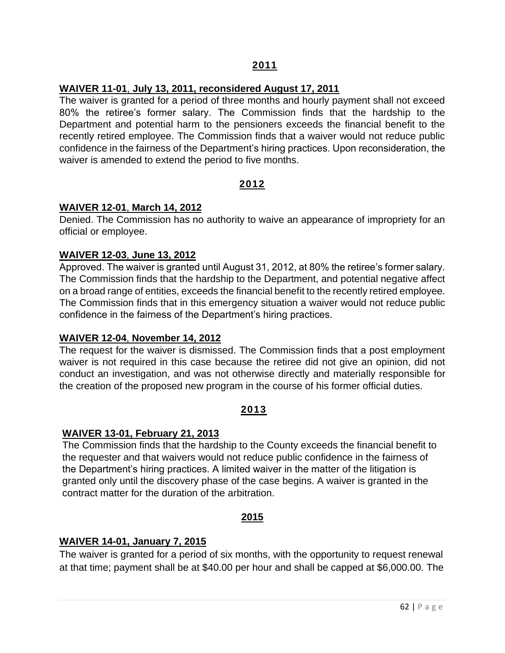#### **WAIVER 11-01**, **July 13, 2011, reconsidered August 17, 2011**

The waiver is granted for a period of three months and hourly payment shall not exceed 80% the retiree's former salary. The Commission finds that the hardship to the Department and potential harm to the pensioners exceeds the financial benefit to the recently retired employee. The Commission finds that a waiver would not reduce public confidence in the fairness of the Department's hiring practices. Upon reconsideration, the waiver is amended to extend the period to five months.

### **2012**

#### **WAIVER 12-01**, **March 14, 2012**

Denied. The Commission has no authority to waive an appearance of impropriety for an official or employee.

#### **WAIVER 12-03**, **June 13, 2012**

Approved. The waiver is granted until August 31, 2012, at 80% the retiree's former salary. The Commission finds that the hardship to the Department, and potential negative affect on a broad range of entities, exceeds the financial benefit to the recently retired employee. The Commission finds that in this emergency situation a waiver would not reduce public confidence in the fairness of the Department's hiring practices.

#### **WAIVER 12-04**, **November 14, 2012**

The request for the waiver is dismissed. The Commission finds that a post employment waiver is not required in this case because the retiree did not give an opinion, did not conduct an investigation, and was not otherwise directly and materially responsible for the creation of the proposed new program in the course of his former official duties.

### **2013**

### **WAIVER 13-01, February 21, 2013**

The Commission finds that the hardship to the County exceeds the financial benefit to the requester and that waivers would not reduce public confidence in the fairness of the Department's hiring practices. A limited waiver in the matter of the litigation is granted only until the discovery phase of the case begins. A waiver is granted in the contract matter for the duration of the arbitration.

#### **2015**

### **WAIVER 14-01, January 7, 2015**

The waiver is granted for a period of six months, with the opportunity to request renewal at that time; payment shall be at \$40.00 per hour and shall be capped at \$6,000.00. The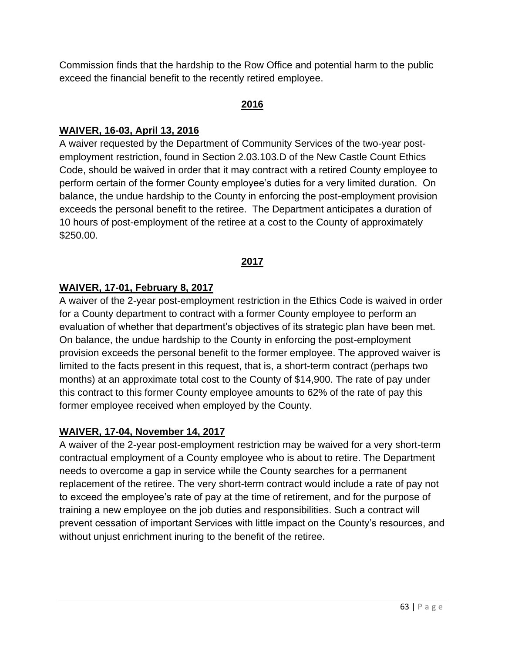Commission finds that the hardship to the Row Office and potential harm to the public exceed the financial benefit to the recently retired employee.

#### **2016**

## **WAIVER, 16-03, April 13, 2016**

A waiver requested by the Department of Community Services of the two-year postemployment restriction, found in Section 2.03.103.D of the New Castle Count Ethics Code, should be waived in order that it may contract with a retired County employee to perform certain of the former County employee's duties for a very limited duration. On balance, the undue hardship to the County in enforcing the post-employment provision exceeds the personal benefit to the retiree. The Department anticipates a duration of 10 hours of post-employment of the retiree at a cost to the County of approximately \$250.00.

## **2017**

## **WAIVER, 17-01, February 8, 2017**

A waiver of the 2-year post-employment restriction in the Ethics Code is waived in order for a County department to contract with a former County employee to perform an evaluation of whether that department's objectives of its strategic plan have been met. On balance, the undue hardship to the County in enforcing the post-employment provision exceeds the personal benefit to the former employee. The approved waiver is limited to the facts present in this request, that is, a short-term contract (perhaps two months) at an approximate total cost to the County of \$14,900. The rate of pay under this contract to this former County employee amounts to 62% of the rate of pay this former employee received when employed by the County.

## **WAIVER, 17-04, November 14, 2017**

A waiver of the 2-year post-employment restriction may be waived for a very short-term contractual employment of a County employee who is about to retire. The Department needs to overcome a gap in service while the County searches for a permanent replacement of the retiree. The very short-term contract would include a rate of pay not to exceed the employee's rate of pay at the time of retirement, and for the purpose of training a new employee on the job duties and responsibilities. Such a contract will prevent cessation of important Services with little impact on the County's resources, and without unjust enrichment inuring to the benefit of the retiree.